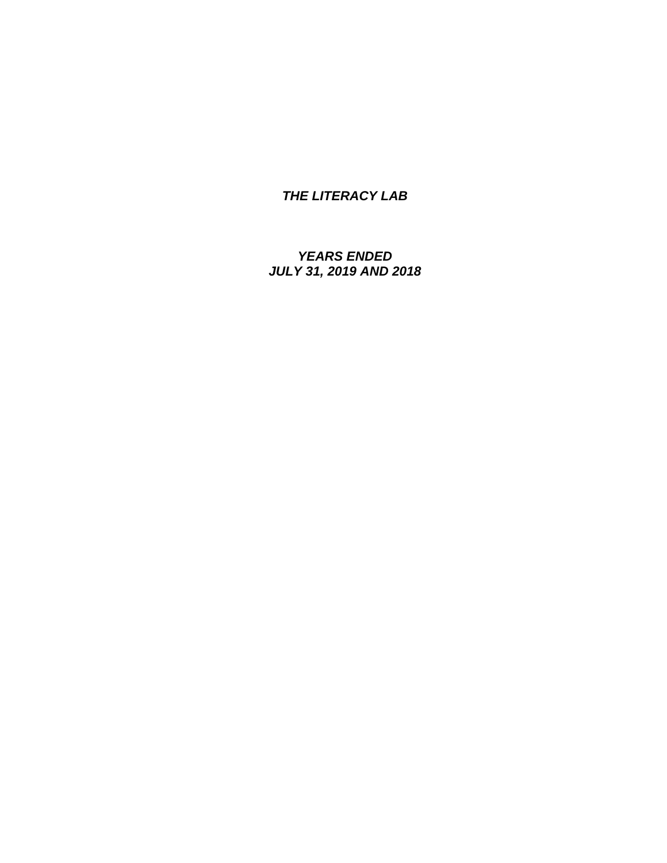*YEARS ENDED JULY 31, 2019 AND 2018*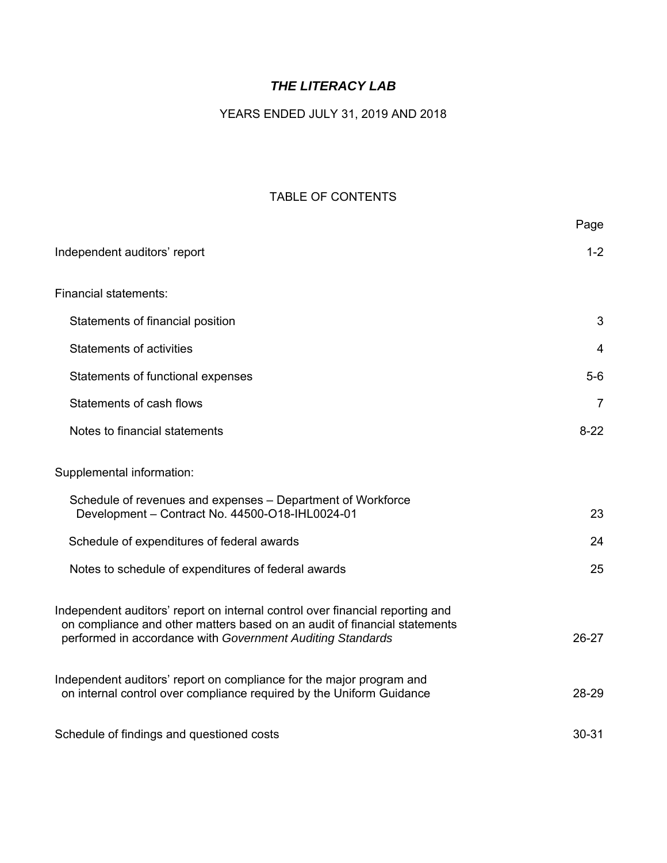## YEARS ENDED JULY 31, 2019 AND 2018

# TABLE OF CONTENTS

|                                                                                                                                                                                                                          | Page           |
|--------------------------------------------------------------------------------------------------------------------------------------------------------------------------------------------------------------------------|----------------|
| Independent auditors' report                                                                                                                                                                                             | $1 - 2$        |
| <b>Financial statements:</b>                                                                                                                                                                                             |                |
| Statements of financial position                                                                                                                                                                                         | 3              |
| Statements of activities                                                                                                                                                                                                 | 4              |
| Statements of functional expenses                                                                                                                                                                                        | $5-6$          |
| Statements of cash flows                                                                                                                                                                                                 | $\overline{7}$ |
| Notes to financial statements                                                                                                                                                                                            | $8-22$         |
| Supplemental information:                                                                                                                                                                                                |                |
| Schedule of revenues and expenses – Department of Workforce<br>Development - Contract No. 44500-O18-IHL0024-01                                                                                                           | 23             |
| Schedule of expenditures of federal awards                                                                                                                                                                               | 24             |
| Notes to schedule of expenditures of federal awards                                                                                                                                                                      | 25             |
| Independent auditors' report on internal control over financial reporting and<br>on compliance and other matters based on an audit of financial statements<br>performed in accordance with Government Auditing Standards | 26-27          |
| Independent auditors' report on compliance for the major program and<br>on internal control over compliance required by the Uniform Guidance                                                                             | 28-29          |
| Schedule of findings and questioned costs                                                                                                                                                                                | 30-31          |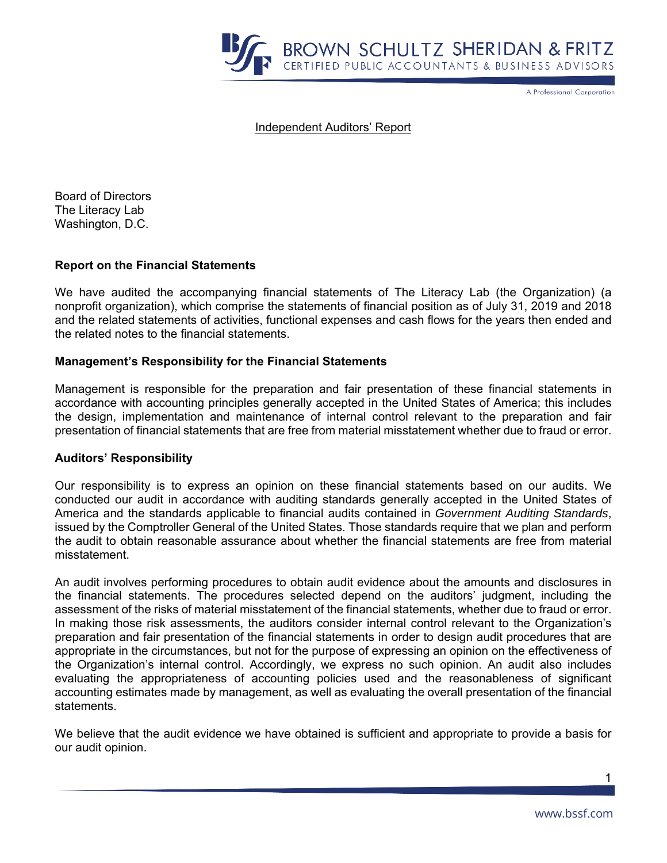

A Professional Corporation

Independent Auditors' Report

Board of Directors The Literacy Lab Washington, D.C.

#### **Report on the Financial Statements**

We have audited the accompanying financial statements of The Literacy Lab (the Organization) (a nonprofit organization), which comprise the statements of financial position as of July 31, 2019 and 2018 and the related statements of activities, functional expenses and cash flows for the years then ended and the related notes to the financial statements.

#### **Management's Responsibility for the Financial Statements**

Management is responsible for the preparation and fair presentation of these financial statements in accordance with accounting principles generally accepted in the United States of America; this includes the design, implementation and maintenance of internal control relevant to the preparation and fair presentation of financial statements that are free from material misstatement whether due to fraud or error.

#### **Auditors' Responsibility**

Our responsibility is to express an opinion on these financial statements based on our audits. We conducted our audit in accordance with auditing standards generally accepted in the United States of America and the standards applicable to financial audits contained in *Government Auditing Standards*, issued by the Comptroller General of the United States. Those standards require that we plan and perform the audit to obtain reasonable assurance about whether the financial statements are free from material misstatement.

An audit involves performing procedures to obtain audit evidence about the amounts and disclosures in the financial statements. The procedures selected depend on the auditors' judgment, including the assessment of the risks of material misstatement of the financial statements, whether due to fraud or error. In making those risk assessments, the auditors consider internal control relevant to the Organization's preparation and fair presentation of the financial statements in order to design audit procedures that are appropriate in the circumstances, but not for the purpose of expressing an opinion on the effectiveness of the Organization's internal control. Accordingly, we express no such opinion. An audit also includes evaluating the appropriateness of accounting policies used and the reasonableness of significant accounting estimates made by management, as well as evaluating the overall presentation of the financial statements.

We believe that the audit evidence we have obtained is sufficient and appropriate to provide a basis for our audit opinion.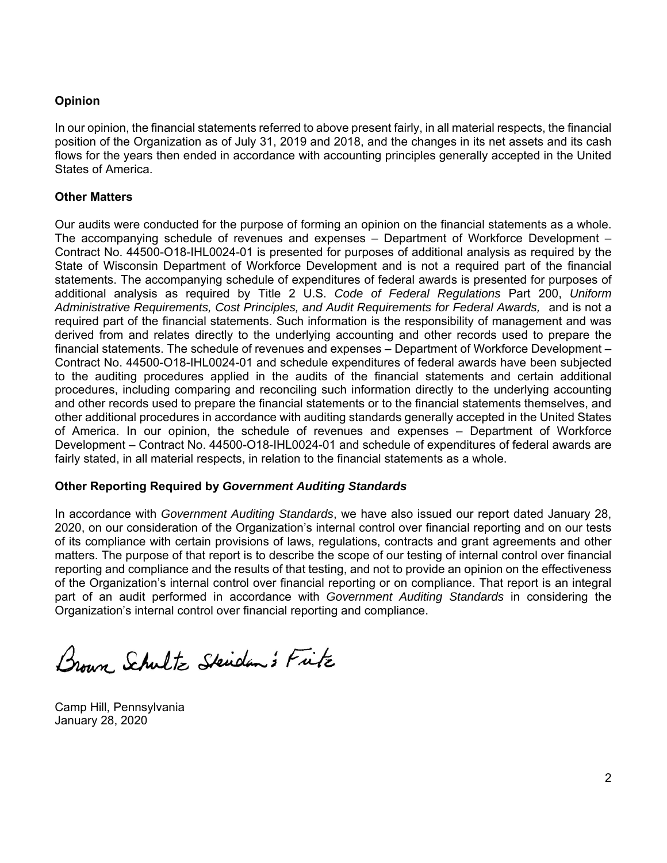### **Opinion**

In our opinion, the financial statements referred to above present fairly, in all material respects, the financial position of the Organization as of July 31, 2019 and 2018, and the changes in its net assets and its cash flows for the years then ended in accordance with accounting principles generally accepted in the United States of America.

#### **Other Matters**

Our audits were conducted for the purpose of forming an opinion on the financial statements as a whole. The accompanying schedule of revenues and expenses – Department of Workforce Development – Contract No. 44500-O18-IHL0024-01 is presented for purposes of additional analysis as required by the State of Wisconsin Department of Workforce Development and is not a required part of the financial statements. The accompanying schedule of expenditures of federal awards is presented for purposes of additional analysis as required by Title 2 U.S. *Code of Federal Regulations* Part 200, *Uniform Administrative Requirements, Cost Principles, and Audit Requirements for Federal Awards,* and is not a required part of the financial statements. Such information is the responsibility of management and was derived from and relates directly to the underlying accounting and other records used to prepare the financial statements. The schedule of revenues and expenses – Department of Workforce Development – Contract No. 44500-O18-IHL0024-01 and schedule expenditures of federal awards have been subjected to the auditing procedures applied in the audits of the financial statements and certain additional procedures, including comparing and reconciling such information directly to the underlying accounting and other records used to prepare the financial statements or to the financial statements themselves, and other additional procedures in accordance with auditing standards generally accepted in the United States of America. In our opinion, the schedule of revenues and expenses – Department of Workforce Development – Contract No. 44500-O18-IHL0024-01 and schedule of expenditures of federal awards are fairly stated, in all material respects, in relation to the financial statements as a whole.

### **Other Reporting Required by** *Government Auditing Standards*

In accordance with *Government Auditing Standards*, we have also issued our report dated January 28, 2020, on our consideration of the Organization's internal control over financial reporting and on our tests of its compliance with certain provisions of laws, regulations, contracts and grant agreements and other matters. The purpose of that report is to describe the scope of our testing of internal control over financial reporting and compliance and the results of that testing, and not to provide an opinion on the effectiveness of the Organization's internal control over financial reporting or on compliance. That report is an integral part of an audit performed in accordance with *Government Auditing Standards* in considering the Organization's internal control over financial reporting and compliance.

Brown Schultz Skiden's Fitz

Camp Hill, Pennsylvania January 28, 2020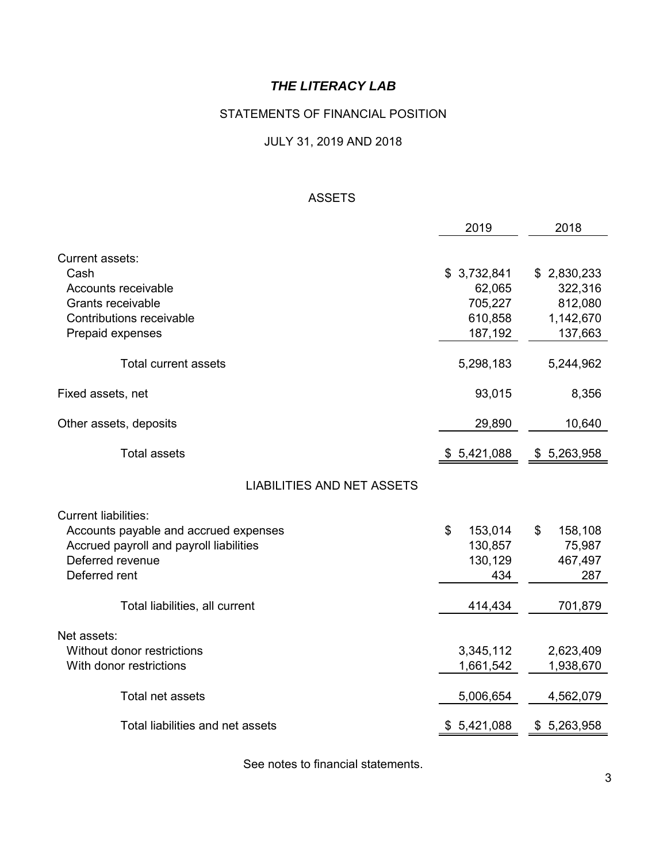## STATEMENTS OF FINANCIAL POSITION

## JULY 31, 2019 AND 2018

## ASSETS

|                                         | 2019          | 2018          |
|-----------------------------------------|---------------|---------------|
| <b>Current assets:</b>                  |               |               |
| Cash                                    | \$3,732,841   | \$2,830,233   |
| Accounts receivable                     | 62,065        | 322,316       |
| Grants receivable                       | 705,227       | 812,080       |
| Contributions receivable                | 610,858       | 1,142,670     |
| Prepaid expenses                        | 187,192       | 137,663       |
| <b>Total current assets</b>             | 5,298,183     | 5,244,962     |
| Fixed assets, net                       | 93,015        | 8,356         |
| Other assets, deposits                  | 29,890        | 10,640        |
| <b>Total assets</b>                     | \$5,421,088   | \$5,263,958   |
| <b>LIABILITIES AND NET ASSETS</b>       |               |               |
| <b>Current liabilities:</b>             |               |               |
| Accounts payable and accrued expenses   | \$<br>153,014 | \$<br>158,108 |
| Accrued payroll and payroll liabilities | 130,857       | 75,987        |
| Deferred revenue                        | 130,129       | 467,497       |
| Deferred rent                           | 434           | 287           |
| Total liabilities, all current          | 414,434       | 701,879       |
|                                         |               |               |
| Net assets:                             |               |               |
| Without donor restrictions              | 3,345,112     | 2,623,409     |
| With donor restrictions                 | 1,661,542     | 1,938,670     |
| Total net assets                        | 5,006,654     | 4,562,079     |
| Total liabilities and net assets        | \$5,421,088   | \$5,263,958   |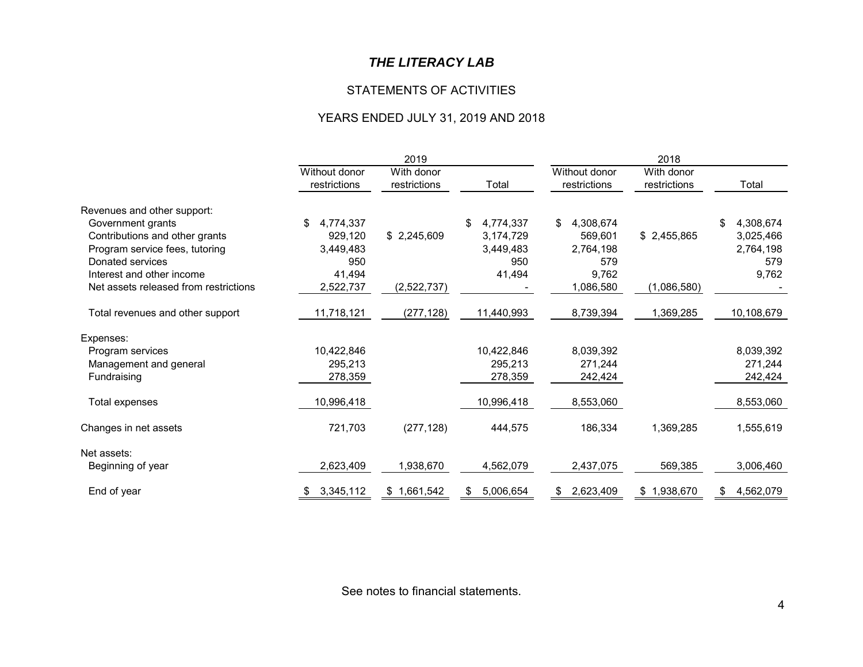#### STATEMENTS OF ACTIVITIES

### YEARS ENDED JULY 31, 2019 AND 2018

|                                       | 2019            |              |                 | 2018            |                 |                 |
|---------------------------------------|-----------------|--------------|-----------------|-----------------|-----------------|-----------------|
|                                       | Without donor   | With donor   |                 | Without donor   | With donor      |                 |
|                                       | restrictions    | restrictions | Total           | restrictions    | restrictions    | Total           |
| Revenues and other support:           |                 |              |                 |                 |                 |                 |
| Government grants                     | 4,774,337<br>\$ |              | 4,774,337<br>\$ | \$<br>4,308,674 |                 | 4,308,674<br>\$ |
| Contributions and other grants        | 929,120         | \$2,245,609  | 3,174,729       | 569,601         | \$2,455,865     | 3,025,466       |
| Program service fees, tutoring        | 3,449,483       |              | 3,449,483       | 2,764,198       |                 | 2,764,198       |
| Donated services                      | 950             |              | 950             | 579             |                 | 579             |
| Interest and other income             | 41,494          |              | 41,494          | 9,762           |                 | 9,762           |
| Net assets released from restrictions | 2,522,737       | (2,522,737)  |                 | 1,086,580       | (1,086,580)     |                 |
| Total revenues and other support      | 11,718,121      | (277, 128)   | 11,440,993      | 8,739,394       | 1,369,285       | 10,108,679      |
| Expenses:                             |                 |              |                 |                 |                 |                 |
| Program services                      | 10,422,846      |              | 10,422,846      | 8,039,392       |                 | 8,039,392       |
| Management and general                | 295,213         |              | 295,213         | 271,244         |                 | 271,244         |
| Fundraising                           | 278,359         |              | 278,359         | 242,424         |                 | 242,424         |
| Total expenses                        | 10,996,418      |              | 10,996,418      | 8,553,060       |                 | 8,553,060       |
| Changes in net assets                 | 721,703         | (277, 128)   | 444,575         | 186,334         | 1,369,285       | 1,555,619       |
| Net assets:                           |                 |              |                 |                 |                 |                 |
| Beginning of year                     | 2,623,409       | 1,938,670    | 4,562,079       | 2,437,075       | 569,385         | 3,006,460       |
| End of year                           | 3,345,112       | \$1,661,542  | 5,006,654       | 2,623,409<br>\$ | 1,938,670<br>\$ | 4,562,079       |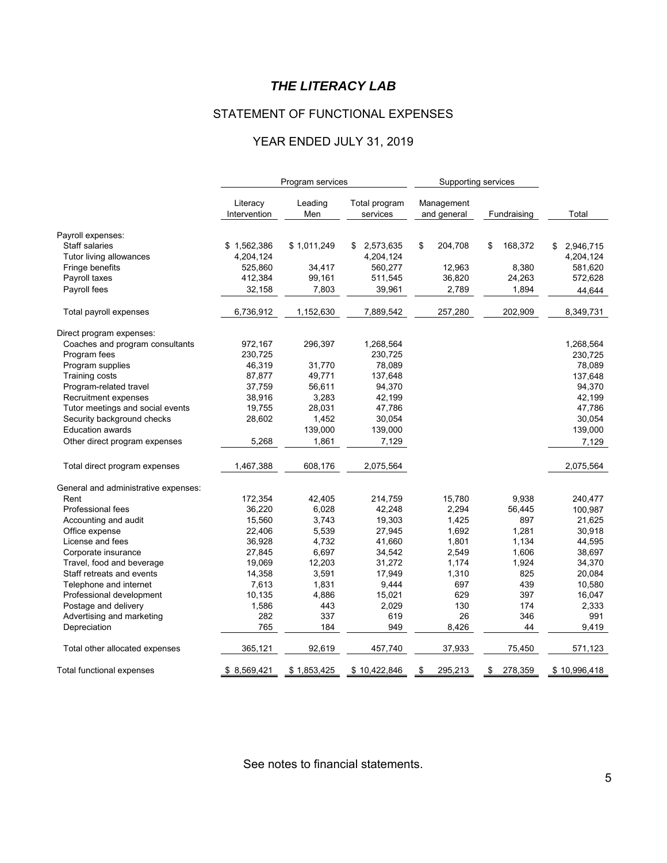## STATEMENT OF FUNCTIONAL EXPENSES

## YEAR ENDED JULY 31, 2019

|                                      | Program services |             |                 | Supporting services |               |                 |
|--------------------------------------|------------------|-------------|-----------------|---------------------|---------------|-----------------|
|                                      | Literacy         | Leading     | Total program   | Management          |               |                 |
|                                      | Intervention     | Men         | services        | and general         | Fundraising   | Total           |
| Payroll expenses:                    |                  |             |                 |                     |               |                 |
| Staff salaries                       | \$1,562,386      | \$1,011,249 | 2,573,635<br>\$ | \$<br>204,708       | 168,372<br>\$ | \$<br>2,946,715 |
| <b>Tutor living allowances</b>       | 4,204,124        |             | 4,204,124       |                     |               | 4,204,124       |
| Fringe benefits                      | 525,860          | 34,417      | 560,277         | 12,963              | 8,380         | 581,620         |
| Payroll taxes                        | 412,384          | 99,161      | 511,545         | 36,820              | 24,263        | 572,628         |
| Payroll fees                         | 32,158           | 7,803       | 39,961          | 2,789               | 1,894         | 44,644          |
|                                      |                  |             |                 |                     |               |                 |
| Total payroll expenses               | 6,736,912        | 1,152,630   | 7,889,542       | 257,280             | 202,909       | 8,349,731       |
| Direct program expenses:             |                  |             |                 |                     |               |                 |
| Coaches and program consultants      | 972,167          | 296,397     | 1,268,564       |                     |               | 1,268,564       |
| Program fees                         | 230,725          |             | 230,725         |                     |               | 230,725         |
| Program supplies                     | 46,319           | 31,770      | 78,089          |                     |               | 78,089          |
| Training costs                       | 87,877           | 49,771      | 137,648         |                     |               | 137,648         |
| Program-related travel               | 37,759           | 56,611      | 94,370          |                     |               | 94,370          |
| Recruitment expenses                 | 38,916           | 3,283       | 42,199          |                     |               | 42,199          |
| Tutor meetings and social events     | 19,755           | 28,031      | 47,786          |                     |               | 47,786          |
| Security background checks           | 28,602           | 1,452       | 30,054          |                     |               | 30,054          |
| <b>Education awards</b>              |                  | 139,000     | 139,000         |                     |               | 139,000         |
| Other direct program expenses        | 5,268            | 1,861       | 7,129           |                     |               | 7,129           |
| Total direct program expenses        | 1,467,388        | 608,176     | 2,075,564       |                     |               | 2,075,564       |
| General and administrative expenses: |                  |             |                 |                     |               |                 |
| Rent                                 | 172,354          | 42,405      | 214,759         | 15,780              | 9,938         | 240,477         |
| Professional fees                    | 36,220           | 6,028       | 42,248          | 2,294               | 56,445        | 100,987         |
| Accounting and audit                 | 15,560           | 3,743       | 19,303          | 1,425               | 897           | 21,625          |
| Office expense                       | 22,406           | 5,539       | 27,945          | 1,692               | 1,281         | 30,918          |
| License and fees                     | 36,928           | 4,732       | 41,660          | 1,801               | 1,134         | 44,595          |
| Corporate insurance                  | 27,845           | 6,697       | 34,542          | 2,549               | 1,606         | 38,697          |
| Travel, food and beverage            | 19,069           | 12,203      | 31,272          | 1,174               | 1,924         | 34,370          |
| Staff retreats and events            | 14,358           | 3,591       | 17,949          | 1,310               | 825           | 20,084          |
| Telephone and internet               | 7,613            | 1,831       | 9,444           | 697                 | 439           | 10,580          |
| Professional development             | 10,135           | 4,886       | 15,021          | 629                 | 397           | 16,047          |
| Postage and delivery                 | 1,586            | 443         | 2,029           | 130                 | 174           | 2,333           |
| Advertising and marketing            | 282              | 337         | 619             | 26                  | 346           | 991             |
| Depreciation                         | 765              | 184         | 949             | 8,426               | 44            | 9,419           |
| Total other allocated expenses       | 365,121          | 92,619      | 457,740         | 37,933              | 75,450        | 571,123         |
|                                      |                  |             |                 |                     |               |                 |
| Total functional expenses            | \$8,569,421      | \$1,853,425 | \$10,422,846    | 295,213<br>S        | 278,359<br>S  | \$10,996,418    |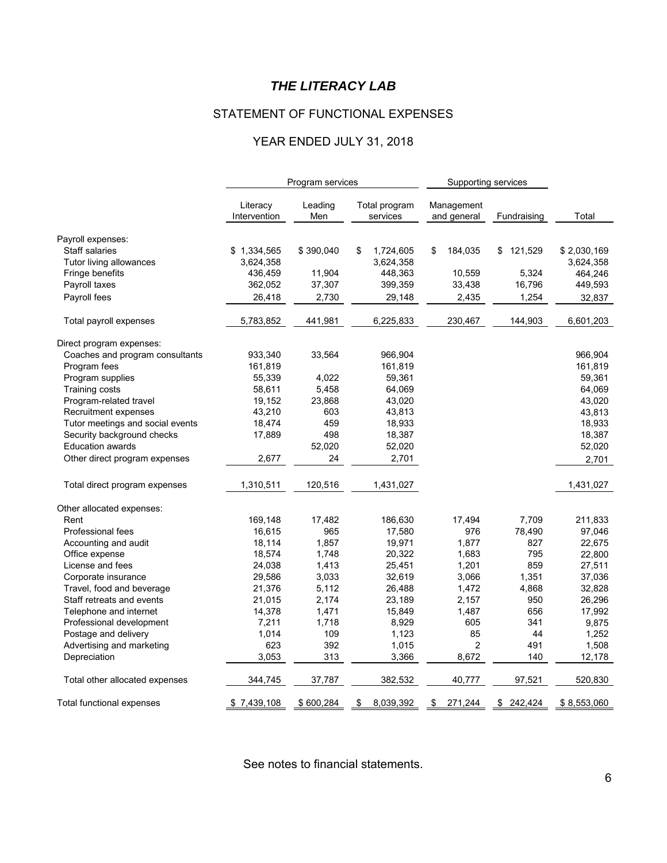## STATEMENT OF FUNCTIONAL EXPENSES

## YEAR ENDED JULY 31, 2018

|                                  |              | Program services |                 |                | Supporting services |             |
|----------------------------------|--------------|------------------|-----------------|----------------|---------------------|-------------|
|                                  | Literacy     | Leading          | Total program   | Management     |                     |             |
|                                  | Intervention | Men              | services        | and general    | Fundraising         | Total       |
|                                  |              |                  |                 |                |                     |             |
| Payroll expenses:                |              |                  |                 |                |                     |             |
| <b>Staff salaries</b>            | \$1,334,565  | \$390,040        | \$<br>1,724,605 | \$<br>184,035  | 121,529<br>\$       | \$2,030,169 |
| Tutor living allowances          | 3,624,358    |                  | 3,624,358       |                |                     | 3,624,358   |
| Fringe benefits                  | 436,459      | 11,904           | 448,363         | 10,559         | 5,324               | 464,246     |
| Payroll taxes                    | 362,052      | 37,307           | 399,359         | 33,438         | 16,796              | 449,593     |
| Payroll fees                     | 26,418       | 2,730            | 29,148          | 2,435          | 1,254               | 32,837      |
| Total payroll expenses           | 5,783,852    | 441,981          | 6,225,833       | 230,467        | 144,903             | 6,601,203   |
| Direct program expenses:         |              |                  |                 |                |                     |             |
| Coaches and program consultants  | 933,340      | 33,564           | 966,904         |                |                     | 966,904     |
| Program fees                     | 161,819      |                  | 161,819         |                |                     | 161,819     |
| Program supplies                 | 55,339       | 4,022            | 59,361          |                |                     | 59,361      |
| Training costs                   | 58,611       | 5,458            | 64,069          |                |                     | 64,069      |
| Program-related travel           | 19,152       | 23,868           | 43,020          |                |                     | 43,020      |
| Recruitment expenses             | 43,210       | 603              | 43,813          |                |                     | 43,813      |
| Tutor meetings and social events | 18,474       | 459              | 18,933          |                |                     | 18,933      |
| Security background checks       | 17,889       | 498              | 18,387          |                |                     | 18,387      |
| <b>Education awards</b>          |              | 52,020           | 52,020          |                |                     | 52,020      |
| Other direct program expenses    | 2,677        | 24               | 2,701           |                |                     | 2,701       |
| Total direct program expenses    | 1,310,511    | 120,516          | 1,431,027       |                |                     | 1,431,027   |
| Other allocated expenses:        |              |                  |                 |                |                     |             |
| Rent                             | 169,148      | 17,482           | 186,630         | 17,494         | 7,709               | 211,833     |
| Professional fees                | 16,615       | 965              | 17,580          | 976            | 78,490              | 97,046      |
| Accounting and audit             | 18,114       | 1,857            | 19,971          | 1,877          | 827                 | 22,675      |
| Office expense                   | 18,574       | 1,748            | 20,322          | 1,683          | 795                 | 22,800      |
| License and fees                 | 24,038       | 1,413            | 25,451          | 1,201          | 859                 | 27,511      |
| Corporate insurance              | 29,586       | 3,033            | 32,619          | 3,066          | 1,351               | 37,036      |
| Travel, food and beverage        | 21,376       | 5,112            | 26,488          | 1,472          | 4,868               | 32,828      |
| Staff retreats and events        | 21,015       | 2,174            | 23,189          | 2,157          | 950                 | 26,296      |
| Telephone and internet           | 14,378       | 1,471            | 15,849          | 1,487          | 656                 | 17,992      |
| Professional development         | 7,211        | 1,718            | 8,929           | 605            | 341                 | 9,875       |
| Postage and delivery             | 1,014        | 109              | 1,123           | 85             | 44                  | 1,252       |
| Advertising and marketing        | 623          | 392              | 1,015           | $\overline{2}$ | 491                 | 1,508       |
| Depreciation                     | 3,053        | 313              | 3,366           | 8,672          | 140                 | 12,178      |
| Total other allocated expenses   | 344,745      | 37,787           | 382,532         | 40,777         | 97,521              | 520,830     |
| Total functional expenses        | \$7,439,108  | \$600,284        | 8,039,392<br>\$ | 271,244<br>\$  | 242,424<br>\$       | \$8,553,060 |
|                                  |              |                  |                 |                |                     |             |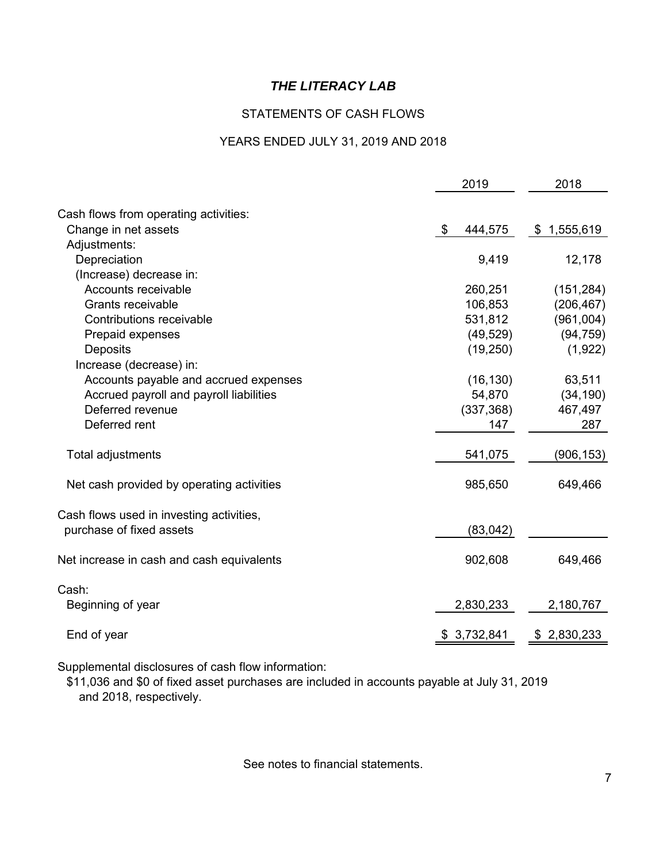### STATEMENTS OF CASH FLOWS

## YEARS ENDED JULY 31, 2019 AND 2018

|                                           | 2019          | 2018            |
|-------------------------------------------|---------------|-----------------|
|                                           |               |                 |
| Cash flows from operating activities:     |               |                 |
| Change in net assets                      | \$<br>444,575 | \$1,555,619     |
| Adjustments:                              |               |                 |
| Depreciation                              | 9,419         | 12,178          |
| (Increase) decrease in:                   |               |                 |
| Accounts receivable                       | 260,251       | (151, 284)      |
| <b>Grants receivable</b>                  | 106,853       | (206, 467)      |
| Contributions receivable                  | 531,812       | (961,004)       |
| Prepaid expenses                          | (49, 529)     | (94, 759)       |
| Deposits                                  | (19,250)      | (1,922)         |
| Increase (decrease) in:                   |               |                 |
| Accounts payable and accrued expenses     | (16, 130)     | 63,511          |
| Accrued payroll and payroll liabilities   | 54,870        | (34, 190)       |
| Deferred revenue                          | (337, 368)    | 467,497         |
| Deferred rent                             | 147           | 287             |
| Total adjustments                         | 541,075       | (906,153)       |
| Net cash provided by operating activities | 985,650       | 649,466         |
| Cash flows used in investing activities,  |               |                 |
| purchase of fixed assets                  | (83, 042)     |                 |
| Net increase in cash and cash equivalents | 902,608       | 649,466         |
| Cash:                                     |               |                 |
| Beginning of year                         | 2,830,233     | 2,180,767       |
| End of year                               | 3,732,841     | 2,830,233<br>\$ |
|                                           |               |                 |

Supplemental disclosures of cash flow information:

\$11,036 and \$0 of fixed asset purchases are included in accounts payable at July 31, 2019 and 2018, respectively.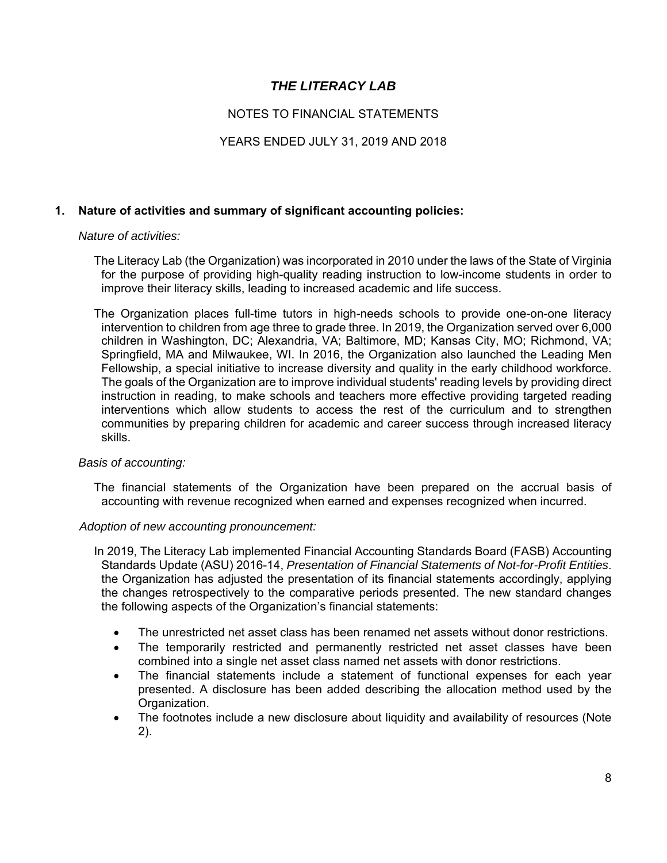## NOTES TO FINANCIAL STATEMENTS

## YEARS ENDED JULY 31, 2019 AND 2018

### **1. Nature of activities and summary of significant accounting policies:**

#### *Nature of activities:*

 The Literacy Lab (the Organization) was incorporated in 2010 under the laws of the State of Virginia for the purpose of providing high-quality reading instruction to low-income students in order to improve their literacy skills, leading to increased academic and life success.

 The Organization places full-time tutors in high-needs schools to provide one-on-one literacy intervention to children from age three to grade three. In 2019, the Organization served over 6,000 children in Washington, DC; Alexandria, VA; Baltimore, MD; Kansas City, MO; Richmond, VA; Springfield, MA and Milwaukee, WI. In 2016, the Organization also launched the Leading Men Fellowship, a special initiative to increase diversity and quality in the early childhood workforce. The goals of the Organization are to improve individual students' reading levels by providing direct instruction in reading, to make schools and teachers more effective providing targeted reading interventions which allow students to access the rest of the curriculum and to strengthen communities by preparing children for academic and career success through increased literacy skills.

#### *Basis of accounting:*

 The financial statements of the Organization have been prepared on the accrual basis of accounting with revenue recognized when earned and expenses recognized when incurred.

#### *Adoption of new accounting pronouncement:*

 In 2019, The Literacy Lab implemented Financial Accounting Standards Board (FASB) Accounting Standards Update (ASU) 2016-14, *Presentation of Financial Statements of Not-for-Profit Entities*. the Organization has adjusted the presentation of its financial statements accordingly, applying the changes retrospectively to the comparative periods presented. The new standard changes the following aspects of the Organization's financial statements:

- The unrestricted net asset class has been renamed net assets without donor restrictions.
- The temporarily restricted and permanently restricted net asset classes have been combined into a single net asset class named net assets with donor restrictions.
- The financial statements include a statement of functional expenses for each year presented. A disclosure has been added describing the allocation method used by the Organization.
- The footnotes include a new disclosure about liquidity and availability of resources (Note 2).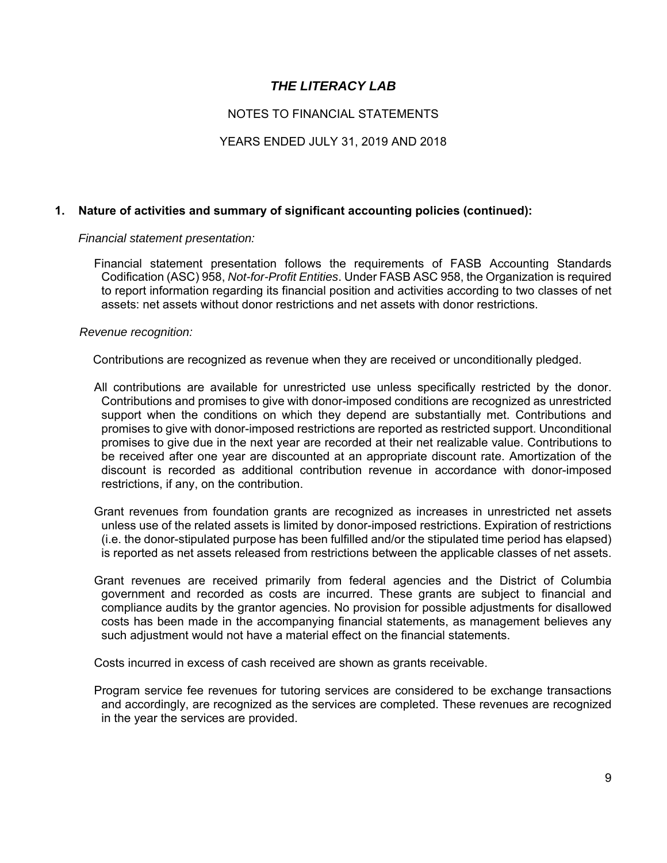### NOTES TO FINANCIAL STATEMENTS

#### YEARS ENDED JULY 31, 2019 AND 2018

#### **1. Nature of activities and summary of significant accounting policies (continued):**

 *Financial statement presentation:* 

 Financial statement presentation follows the requirements of FASB Accounting Standards Codification (ASC) 958, *Not-for-Profit Entities*. Under FASB ASC 958, the Organization is required to report information regarding its financial position and activities according to two classes of net assets: net assets without donor restrictions and net assets with donor restrictions.

#### *Revenue recognition:*

Contributions are recognized as revenue when they are received or unconditionally pledged.

- All contributions are available for unrestricted use unless specifically restricted by the donor. Contributions and promises to give with donor-imposed conditions are recognized as unrestricted support when the conditions on which they depend are substantially met. Contributions and promises to give with donor-imposed restrictions are reported as restricted support. Unconditional promises to give due in the next year are recorded at their net realizable value. Contributions to be received after one year are discounted at an appropriate discount rate. Amortization of the discount is recorded as additional contribution revenue in accordance with donor-imposed restrictions, if any, on the contribution.
- Grant revenues from foundation grants are recognized as increases in unrestricted net assets unless use of the related assets is limited by donor-imposed restrictions. Expiration of restrictions (i.e. the donor-stipulated purpose has been fulfilled and/or the stipulated time period has elapsed) is reported as net assets released from restrictions between the applicable classes of net assets.
- Grant revenues are received primarily from federal agencies and the District of Columbia government and recorded as costs are incurred. These grants are subject to financial and compliance audits by the grantor agencies. No provision for possible adjustments for disallowed costs has been made in the accompanying financial statements, as management believes any such adjustment would not have a material effect on the financial statements.

Costs incurred in excess of cash received are shown as grants receivable.

 Program service fee revenues for tutoring services are considered to be exchange transactions and accordingly, are recognized as the services are completed. These revenues are recognized in the year the services are provided.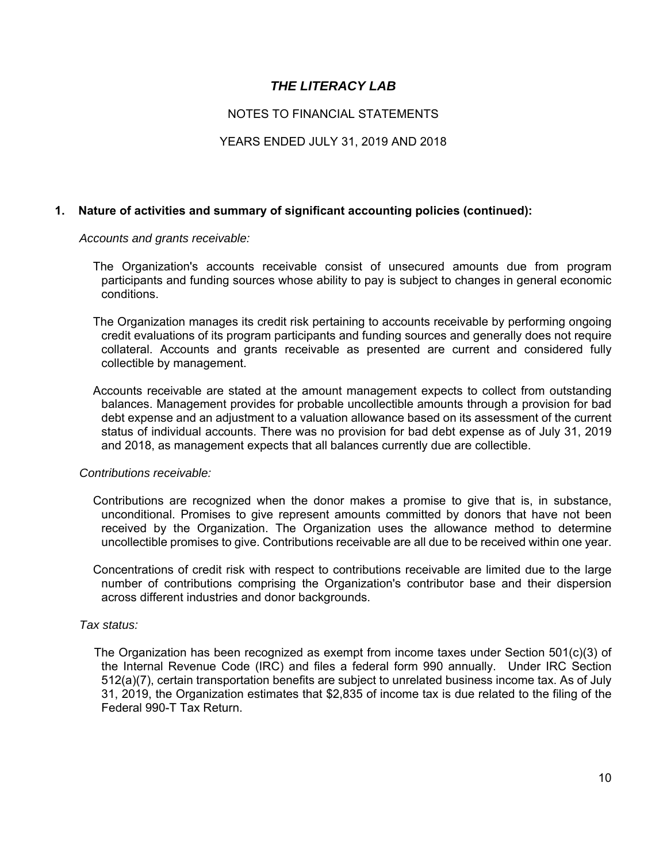### NOTES TO FINANCIAL STATEMENTS

#### YEARS ENDED JULY 31, 2019 AND 2018

#### **1. Nature of activities and summary of significant accounting policies (continued):**

 *Accounts and grants receivable:* 

- The Organization's accounts receivable consist of unsecured amounts due from program participants and funding sources whose ability to pay is subject to changes in general economic conditions.
- The Organization manages its credit risk pertaining to accounts receivable by performing ongoing credit evaluations of its program participants and funding sources and generally does not require collateral. Accounts and grants receivable as presented are current and considered fully collectible by management.
- Accounts receivable are stated at the amount management expects to collect from outstanding balances. Management provides for probable uncollectible amounts through a provision for bad debt expense and an adjustment to a valuation allowance based on its assessment of the current status of individual accounts. There was no provision for bad debt expense as of July 31, 2019 and 2018, as management expects that all balances currently due are collectible.

#### *Contributions receivable:*

- Contributions are recognized when the donor makes a promise to give that is, in substance, unconditional. Promises to give represent amounts committed by donors that have not been received by the Organization. The Organization uses the allowance method to determine uncollectible promises to give. Contributions receivable are all due to be received within one year.
- Concentrations of credit risk with respect to contributions receivable are limited due to the large number of contributions comprising the Organization's contributor base and their dispersion across different industries and donor backgrounds.

#### *Tax status:*

 The Organization has been recognized as exempt from income taxes under Section 501(c)(3) of the Internal Revenue Code (IRC) and files a federal form 990 annually. Under IRC Section 512(a)(7), certain transportation benefits are subject to unrelated business income tax. As of July 31, 2019, the Organization estimates that \$2,835 of income tax is due related to the filing of the Federal 990-T Tax Return.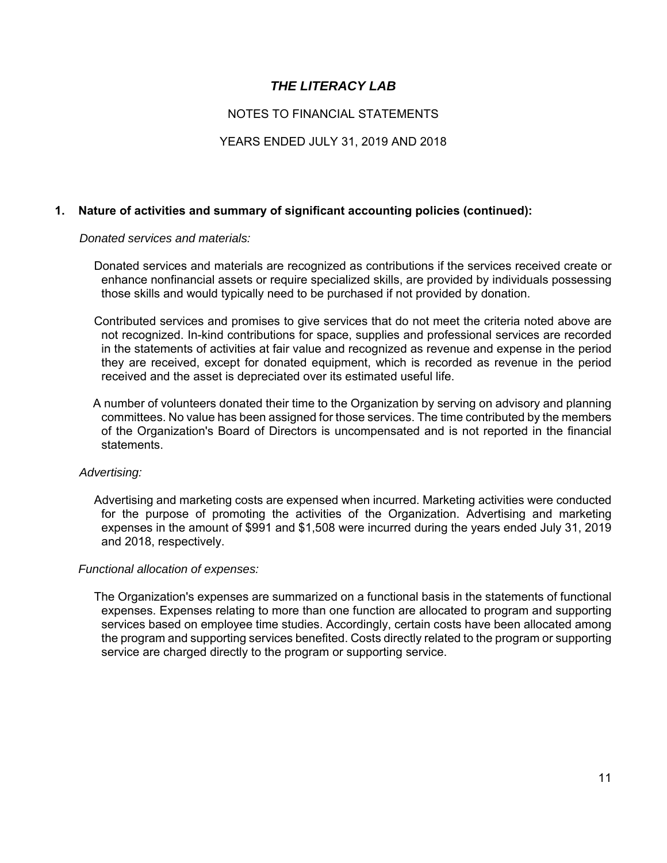## NOTES TO FINANCIAL STATEMENTS

### YEARS ENDED JULY 31, 2019 AND 2018

### **1. Nature of activities and summary of significant accounting policies (continued):**

 *Donated services and materials:* 

 Donated services and materials are recognized as contributions if the services received create or enhance nonfinancial assets or require specialized skills, are provided by individuals possessing those skills and would typically need to be purchased if not provided by donation.

 Contributed services and promises to give services that do not meet the criteria noted above are not recognized. In-kind contributions for space, supplies and professional services are recorded in the statements of activities at fair value and recognized as revenue and expense in the period they are received, except for donated equipment, which is recorded as revenue in the period received and the asset is depreciated over its estimated useful life.

 A number of volunteers donated their time to the Organization by serving on advisory and planning committees. No value has been assigned for those services. The time contributed by the members of the Organization's Board of Directors is uncompensated and is not reported in the financial statements.

#### *Advertising:*

 Advertising and marketing costs are expensed when incurred. Marketing activities were conducted for the purpose of promoting the activities of the Organization. Advertising and marketing expenses in the amount of \$991 and \$1,508 were incurred during the years ended July 31, 2019 and 2018, respectively.

### *Functional allocation of expenses:*

 The Organization's expenses are summarized on a functional basis in the statements of functional expenses. Expenses relating to more than one function are allocated to program and supporting services based on employee time studies. Accordingly, certain costs have been allocated among the program and supporting services benefited. Costs directly related to the program or supporting service are charged directly to the program or supporting service.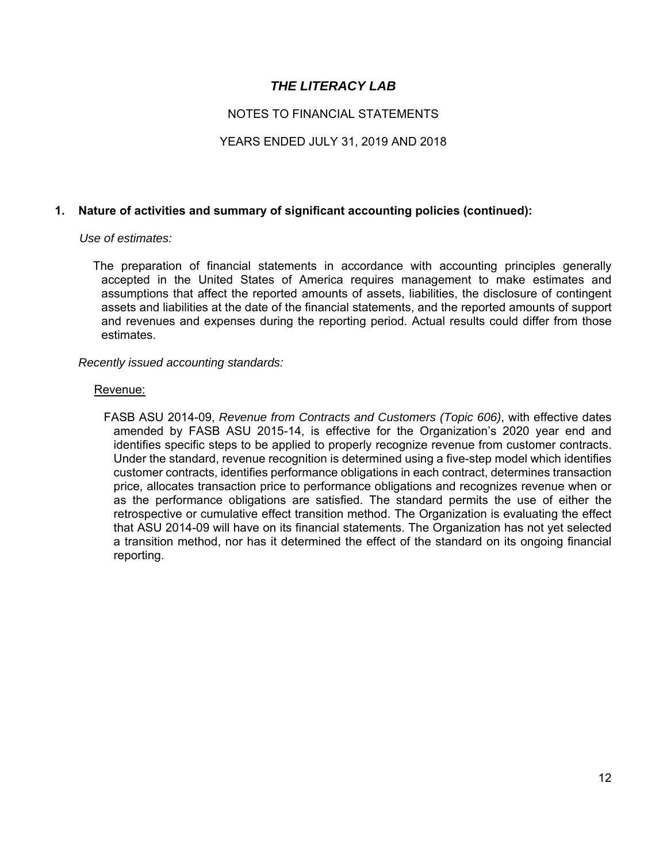## NOTES TO FINANCIAL STATEMENTS

### YEARS ENDED JULY 31, 2019 AND 2018

### **1. Nature of activities and summary of significant accounting policies (continued):**

 *Use of estimates:* 

 The preparation of financial statements in accordance with accounting principles generally accepted in the United States of America requires management to make estimates and assumptions that affect the reported amounts of assets, liabilities, the disclosure of contingent assets and liabilities at the date of the financial statements, and the reported amounts of support and revenues and expenses during the reporting period. Actual results could differ from those estimates.

 *Recently issued accounting standards:*

#### Revenue:

 FASB ASU 2014-09, *Revenue from Contracts and Customers (Topic 606)*, with effective dates amended by FASB ASU 2015-14, is effective for the Organization's 2020 year end and identifies specific steps to be applied to properly recognize revenue from customer contracts. Under the standard, revenue recognition is determined using a five-step model which identifies customer contracts, identifies performance obligations in each contract, determines transaction price, allocates transaction price to performance obligations and recognizes revenue when or as the performance obligations are satisfied. The standard permits the use of either the retrospective or cumulative effect transition method. The Organization is evaluating the effect that ASU 2014-09 will have on its financial statements. The Organization has not yet selected a transition method, nor has it determined the effect of the standard on its ongoing financial reporting.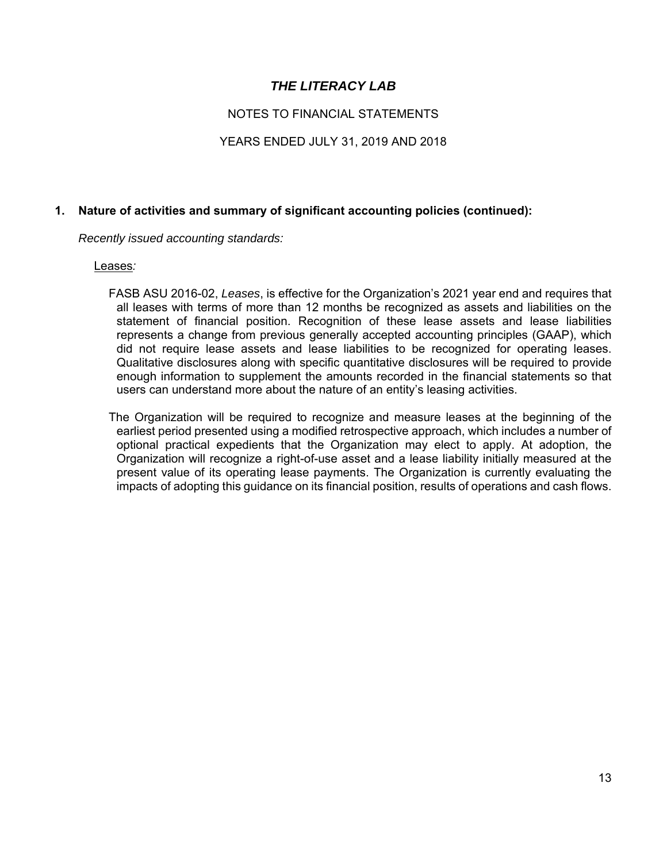## NOTES TO FINANCIAL STATEMENTS

### YEARS ENDED JULY 31, 2019 AND 2018

### **1. Nature of activities and summary of significant accounting policies (continued):**

 *Recently issued accounting standards:*

#### Leases*:*

- FASB ASU 2016-02, *Leases*, is effective for the Organization's 2021 year end and requires that all leases with terms of more than 12 months be recognized as assets and liabilities on the statement of financial position. Recognition of these lease assets and lease liabilities represents a change from previous generally accepted accounting principles (GAAP), which did not require lease assets and lease liabilities to be recognized for operating leases. Qualitative disclosures along with specific quantitative disclosures will be required to provide enough information to supplement the amounts recorded in the financial statements so that users can understand more about the nature of an entity's leasing activities.
- The Organization will be required to recognize and measure leases at the beginning of the earliest period presented using a modified retrospective approach, which includes a number of optional practical expedients that the Organization may elect to apply. At adoption, the Organization will recognize a right-of-use asset and a lease liability initially measured at the present value of its operating lease payments. The Organization is currently evaluating the impacts of adopting this guidance on its financial position, results of operations and cash flows.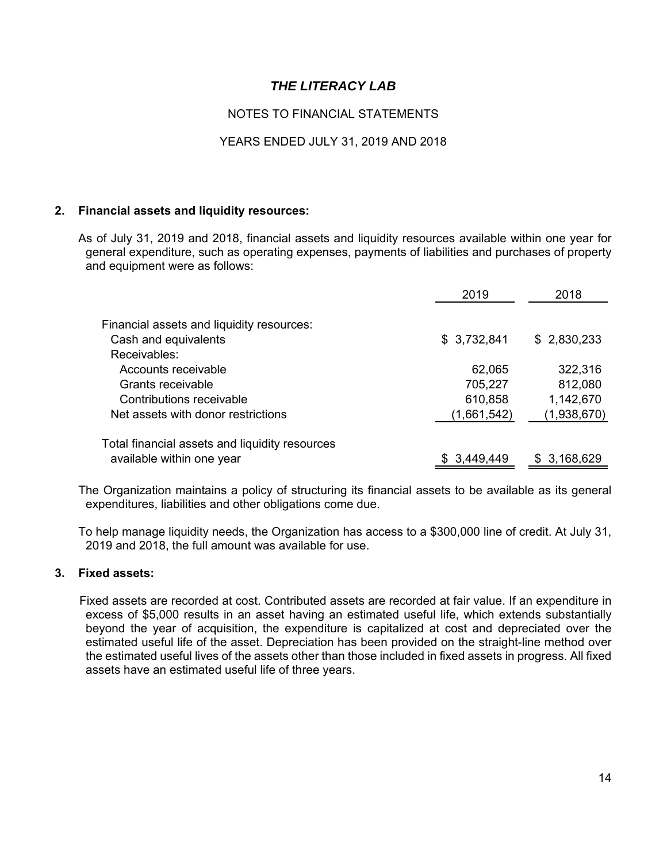## NOTES TO FINANCIAL STATEMENTS

## YEARS ENDED JULY 31, 2019 AND 2018

#### **2. Financial assets and liquidity resources:**

 As of July 31, 2019 and 2018, financial assets and liquidity resources available within one year for general expenditure, such as operating expenses, payments of liabilities and purchases of property and equipment were as follows:

|                                                | 2019        | 2018        |
|------------------------------------------------|-------------|-------------|
| Financial assets and liquidity resources:      |             |             |
| Cash and equivalents<br>Receivables:           | \$3,732,841 | \$2,830,233 |
| Accounts receivable                            | 62,065      | 322,316     |
| Grants receivable                              | 705,227     | 812,080     |
| Contributions receivable                       | 610,858     | 1,142,670   |
| Net assets with donor restrictions             | (1,661,542) | (1,938,670) |
| Total financial assets and liquidity resources |             |             |
| available within one year                      | \$3,449,449 | 3,168,629   |

 The Organization maintains a policy of structuring its financial assets to be available as its general expenditures, liabilities and other obligations come due.

 To help manage liquidity needs, the Organization has access to a \$300,000 line of credit. At July 31, 2019 and 2018, the full amount was available for use.

#### **3. Fixed assets:**

Fixed assets are recorded at cost. Contributed assets are recorded at fair value. If an expenditure in excess of \$5,000 results in an asset having an estimated useful life, which extends substantially beyond the year of acquisition, the expenditure is capitalized at cost and depreciated over the estimated useful life of the asset. Depreciation has been provided on the straight-line method over the estimated useful lives of the assets other than those included in fixed assets in progress. All fixed assets have an estimated useful life of three years.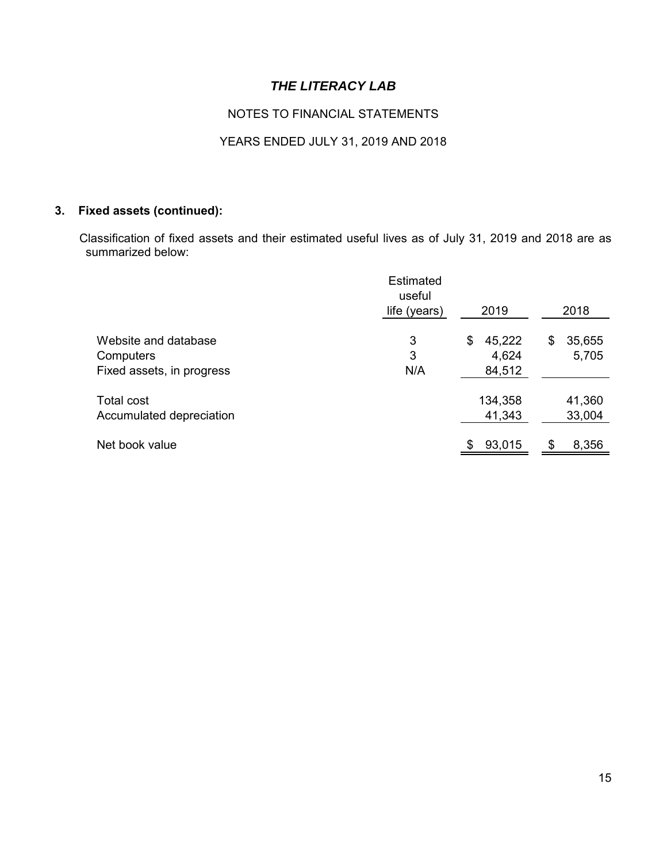## NOTES TO FINANCIAL STATEMENTS

### YEARS ENDED JULY 31, 2019 AND 2018

## **3. Fixed assets (continued):**

Classification of fixed assets and their estimated useful lives as of July 31, 2019 and 2018 are as summarized below:

|                                                                | <b>Estimated</b><br>useful<br>life (years) | 2019                            | 2018                  |
|----------------------------------------------------------------|--------------------------------------------|---------------------------------|-----------------------|
| Website and database<br>Computers<br>Fixed assets, in progress | 3<br>3<br>N/A                              | \$<br>45,222<br>4,624<br>84,512 | 35,655<br>\$<br>5,705 |
| Total cost<br>Accumulated depreciation                         |                                            | 134,358<br>41,343               | 41,360<br>33,004      |
| Net book value                                                 |                                            | \$.<br>93,015                   | 8,356<br>\$.          |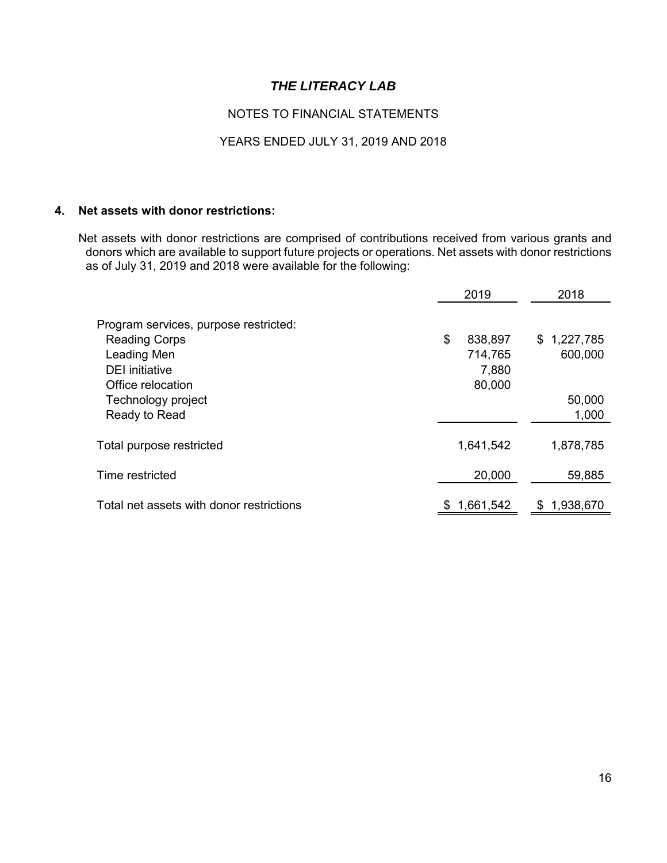## NOTES TO FINANCIAL STATEMENTS

### YEARS ENDED JULY 31, 2019 AND 2018

### **4. Net assets with donor restrictions:**

 Net assets with donor restrictions are comprised of contributions received from various grants and donors which are available to support future projects or operations. Net assets with donor restrictions as of July 31, 2019 and 2018 were available for the following:

|                                          | 2019          | 2018            |
|------------------------------------------|---------------|-----------------|
| Program services, purpose restricted:    |               |                 |
| <b>Reading Corps</b>                     | \$<br>838,897 | \$1,227,785     |
| Leading Men                              | 714,765       | 600,000         |
| <b>DEI</b> initiative                    | 7,880         |                 |
| Office relocation                        | 80,000        |                 |
| Technology project                       |               | 50,000          |
| Ready to Read                            |               | 1,000           |
| Total purpose restricted                 | 1,641,542     | 1,878,785       |
| Time restricted                          | 20,000        | 59,885          |
| Total net assets with donor restrictions | 1,661,542     | 1,938,670<br>\$ |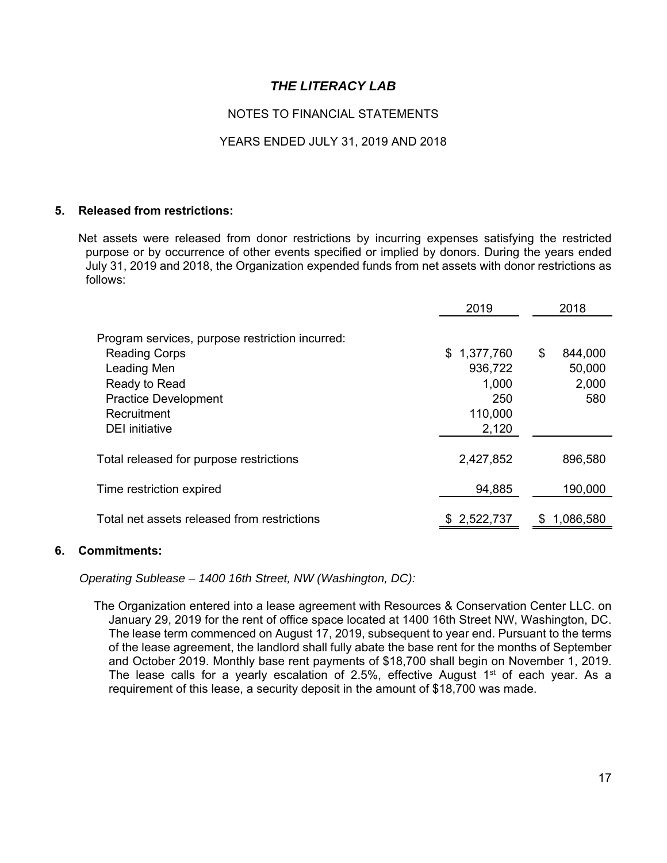## NOTES TO FINANCIAL STATEMENTS

#### YEARS ENDED JULY 31, 2019 AND 2018

#### **5. Released from restrictions:**

 Net assets were released from donor restrictions by incurring expenses satisfying the restricted purpose or by occurrence of other events specified or implied by donors. During the years ended July 31, 2019 and 2018, the Organization expended funds from net assets with donor restrictions as follows:

|                                                 | 2019        | 2018          |
|-------------------------------------------------|-------------|---------------|
| Program services, purpose restriction incurred: |             |               |
| <b>Reading Corps</b>                            | \$1,377,760 | \$<br>844,000 |
| Leading Men                                     | 936,722     | 50,000        |
| Ready to Read                                   | 1,000       | 2,000         |
| <b>Practice Development</b>                     | 250         | 580           |
| Recruitment                                     | 110,000     |               |
| <b>DEI</b> initiative                           | 2,120       |               |
| Total released for purpose restrictions         | 2,427,852   | 896,580       |
| Time restriction expired                        | 94,885      | 190,000       |
| Total net assets released from restrictions     | 2,522,737   | 1,086,580     |

#### **6. Commitments:**

*Operating Sublease – 1400 16th Street, NW (Washington, DC):* 

The Organization entered into a lease agreement with Resources & Conservation Center LLC. on January 29, 2019 for the rent of office space located at 1400 16th Street NW, Washington, DC. The lease term commenced on August 17, 2019, subsequent to year end. Pursuant to the terms of the lease agreement, the landlord shall fully abate the base rent for the months of September and October 2019. Monthly base rent payments of \$18,700 shall begin on November 1, 2019. The lease calls for a yearly escalation of 2.5%, effective August  $1<sup>st</sup>$  of each year. As a requirement of this lease, a security deposit in the amount of \$18,700 was made.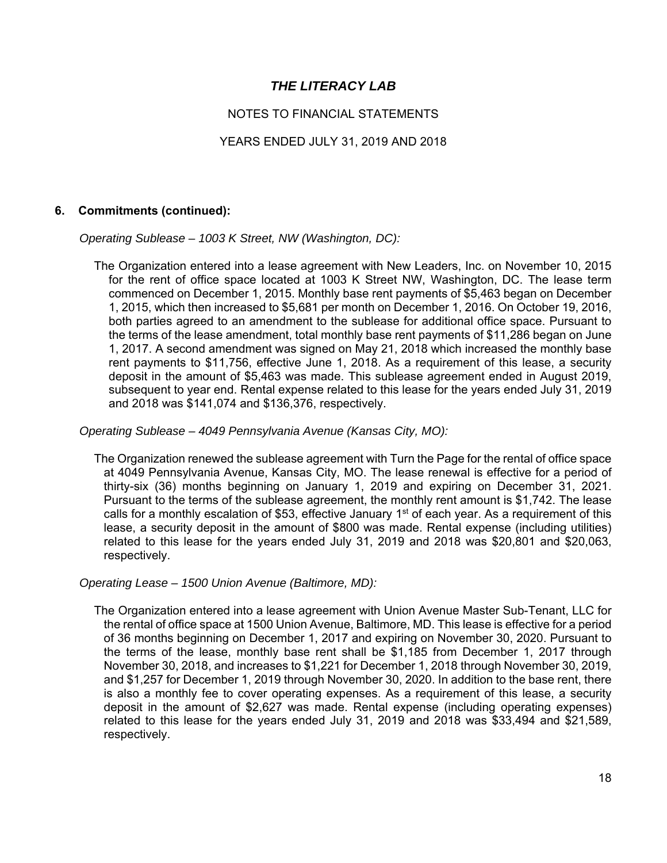## NOTES TO FINANCIAL STATEMENTS

#### YEARS ENDED JULY 31, 2019 AND 2018

#### **6. Commitments (continued):**

*Operating Sublease – 1003 K Street, NW (Washington, DC):* 

The Organization entered into a lease agreement with New Leaders, Inc. on November 10, 2015 for the rent of office space located at 1003 K Street NW, Washington, DC. The lease term commenced on December 1, 2015. Monthly base rent payments of \$5,463 began on December 1, 2015, which then increased to \$5,681 per month on December 1, 2016. On October 19, 2016, both parties agreed to an amendment to the sublease for additional office space. Pursuant to the terms of the lease amendment, total monthly base rent payments of \$11,286 began on June 1, 2017. A second amendment was signed on May 21, 2018 which increased the monthly base rent payments to \$11,756, effective June 1, 2018. As a requirement of this lease, a security deposit in the amount of \$5,463 was made. This sublease agreement ended in August 2019, subsequent to year end. Rental expense related to this lease for the years ended July 31, 2019 and 2018 was \$141,074 and \$136,376, respectively.

*Operating Sublease – 4049 Pennsylvania Avenue (Kansas City, MO):* 

The Organization renewed the sublease agreement with Turn the Page for the rental of office space at 4049 Pennsylvania Avenue, Kansas City, MO. The lease renewal is effective for a period of thirty-six (36) months beginning on January 1, 2019 and expiring on December 31, 2021. Pursuant to the terms of the sublease agreement, the monthly rent amount is \$1,742. The lease calls for a monthly escalation of \$53, effective January  $1<sup>st</sup>$  of each year. As a requirement of this lease, a security deposit in the amount of \$800 was made. Rental expense (including utilities) related to this lease for the years ended July 31, 2019 and 2018 was \$20,801 and \$20,063, respectively.

#### *Operating Lease – 1500 Union Avenue (Baltimore, MD):*

The Organization entered into a lease agreement with Union Avenue Master Sub-Tenant, LLC for the rental of office space at 1500 Union Avenue, Baltimore, MD. This lease is effective for a period of 36 months beginning on December 1, 2017 and expiring on November 30, 2020. Pursuant to the terms of the lease, monthly base rent shall be \$1,185 from December 1, 2017 through November 30, 2018, and increases to \$1,221 for December 1, 2018 through November 30, 2019, and \$1,257 for December 1, 2019 through November 30, 2020. In addition to the base rent, there is also a monthly fee to cover operating expenses. As a requirement of this lease, a security deposit in the amount of \$2,627 was made. Rental expense (including operating expenses) related to this lease for the years ended July 31, 2019 and 2018 was \$33,494 and \$21,589, respectively.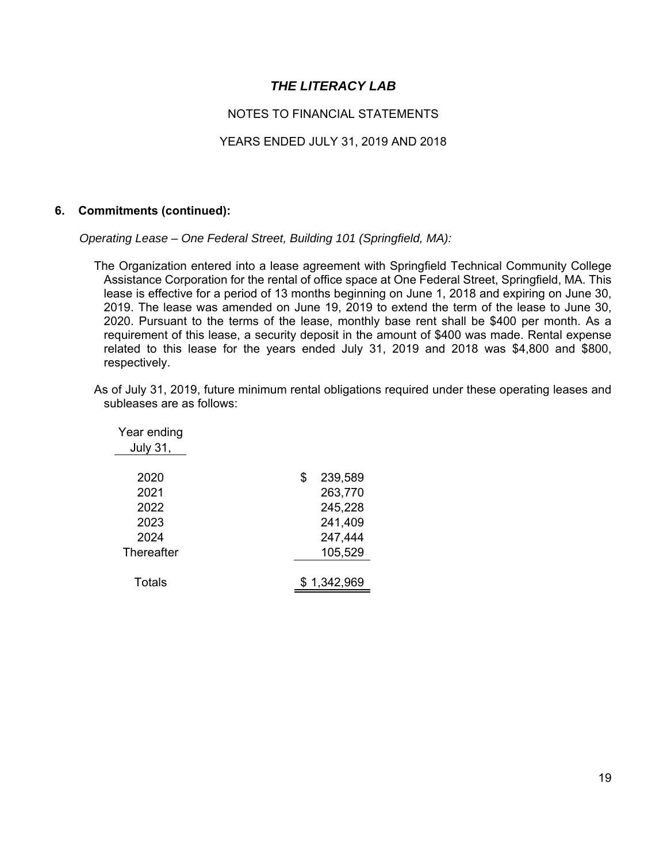## NOTES TO FINANCIAL STATEMENTS

### YEARS ENDED JULY 31, 2019 AND 2018

#### **6. Commitments (continued):**

*Operating Lease – One Federal Street, Building 101 (Springfield, MA):* 

The Organization entered into a lease agreement with Springfield Technical Community College Assistance Corporation for the rental of office space at One Federal Street, Springfield, MA. This lease is effective for a period of 13 months beginning on June 1, 2018 and expiring on June 30, 2019. The lease was amended on June 19, 2019 to extend the term of the lease to June 30, 2020. Pursuant to the terms of the lease, monthly base rent shall be \$400 per month. As a requirement of this lease, a security deposit in the amount of \$400 was made. Rental expense related to this lease for the years ended July 31, 2019 and 2018 was \$4,800 and \$800, respectively.

As of July 31, 2019, future minimum rental obligations required under these operating leases and subleases are as follows:

| Year ending<br><b>July 31,</b> |    |             |
|--------------------------------|----|-------------|
|                                |    |             |
| 2020                           | \$ | 239,589     |
| 2021                           |    | 263,770     |
| 2022                           |    | 245,228     |
| 2023                           |    | 241,409     |
| 2024                           |    | 247,444     |
| Thereafter                     |    | 105,529     |
|                                |    |             |
| Totals                         |    | \$1,342,969 |
|                                |    |             |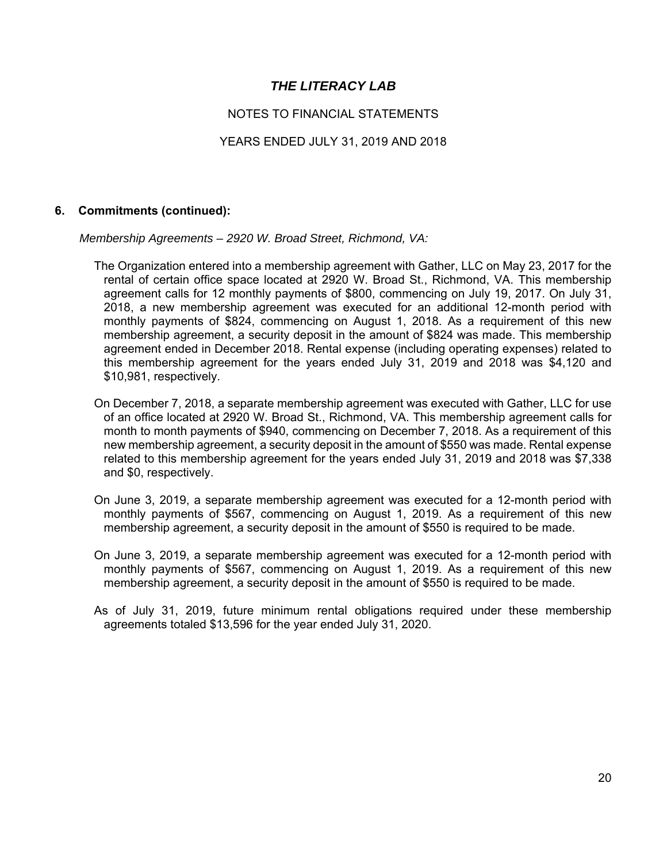## NOTES TO FINANCIAL STATEMENTS

#### YEARS ENDED JULY 31, 2019 AND 2018

#### **6. Commitments (continued):**

*Membership Agreements – 2920 W. Broad Street, Richmond, VA:* 

- The Organization entered into a membership agreement with Gather, LLC on May 23, 2017 for the rental of certain office space located at 2920 W. Broad St., Richmond, VA. This membership agreement calls for 12 monthly payments of \$800, commencing on July 19, 2017. On July 31, 2018, a new membership agreement was executed for an additional 12-month period with monthly payments of \$824, commencing on August 1, 2018. As a requirement of this new membership agreement, a security deposit in the amount of \$824 was made. This membership agreement ended in December 2018. Rental expense (including operating expenses) related to this membership agreement for the years ended July 31, 2019 and 2018 was \$4,120 and \$10,981, respectively.
- On December 7, 2018, a separate membership agreement was executed with Gather, LLC for use of an office located at 2920 W. Broad St., Richmond, VA. This membership agreement calls for month to month payments of \$940, commencing on December 7, 2018. As a requirement of this new membership agreement, a security deposit in the amount of \$550 was made. Rental expense related to this membership agreement for the years ended July 31, 2019 and 2018 was \$7,338 and \$0, respectively.
- On June 3, 2019, a separate membership agreement was executed for a 12-month period with monthly payments of \$567, commencing on August 1, 2019. As a requirement of this new membership agreement, a security deposit in the amount of \$550 is required to be made.
- On June 3, 2019, a separate membership agreement was executed for a 12-month period with monthly payments of \$567, commencing on August 1, 2019. As a requirement of this new membership agreement, a security deposit in the amount of \$550 is required to be made.
- As of July 31, 2019, future minimum rental obligations required under these membership agreements totaled \$13,596 for the year ended July 31, 2020.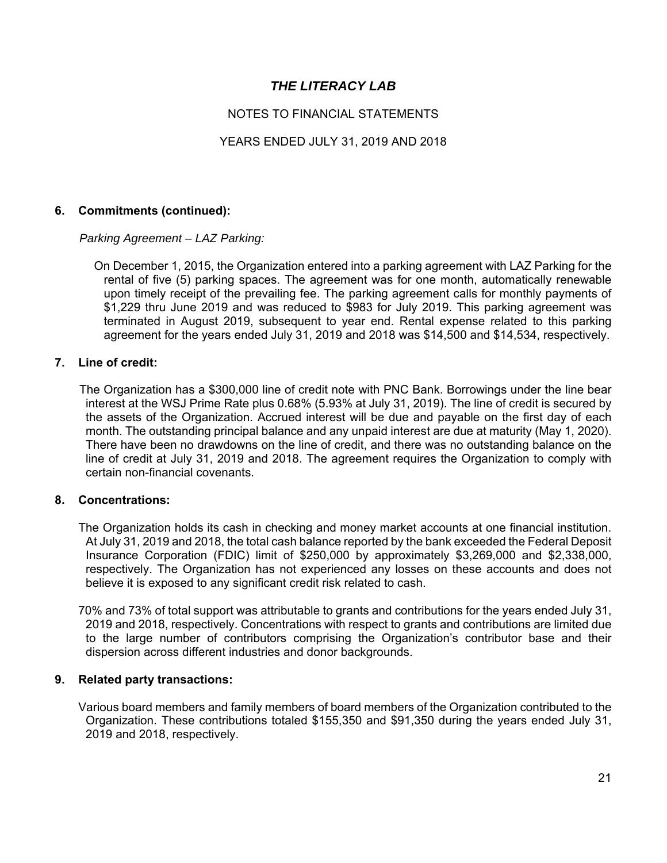## NOTES TO FINANCIAL STATEMENTS

## YEARS ENDED JULY 31, 2019 AND 2018

### **6. Commitments (continued):**

*Parking Agreement – LAZ Parking:* 

On December 1, 2015, the Organization entered into a parking agreement with LAZ Parking for the rental of five (5) parking spaces. The agreement was for one month, automatically renewable upon timely receipt of the prevailing fee. The parking agreement calls for monthly payments of \$1,229 thru June 2019 and was reduced to \$983 for July 2019. This parking agreement was terminated in August 2019, subsequent to year end. Rental expense related to this parking agreement for the years ended July 31, 2019 and 2018 was \$14,500 and \$14,534, respectively.

#### **7. Line of credit:**

 The Organization has a \$300,000 line of credit note with PNC Bank. Borrowings under the line bear interest at the WSJ Prime Rate plus 0.68% (5.93% at July 31, 2019). The line of credit is secured by the assets of the Organization. Accrued interest will be due and payable on the first day of each month. The outstanding principal balance and any unpaid interest are due at maturity (May 1, 2020). There have been no drawdowns on the line of credit, and there was no outstanding balance on the line of credit at July 31, 2019 and 2018. The agreement requires the Organization to comply with certain non-financial covenants.

### **8. Concentrations:**

 The Organization holds its cash in checking and money market accounts at one financial institution. At July 31, 2019 and 2018, the total cash balance reported by the bank exceeded the Federal Deposit Insurance Corporation (FDIC) limit of \$250,000 by approximately \$3,269,000 and \$2,338,000, respectively. The Organization has not experienced any losses on these accounts and does not believe it is exposed to any significant credit risk related to cash.

 70% and 73% of total support was attributable to grants and contributions for the years ended July 31, 2019 and 2018, respectively. Concentrations with respect to grants and contributions are limited due to the large number of contributors comprising the Organization's contributor base and their dispersion across different industries and donor backgrounds.

#### **9. Related party transactions:**

 Various board members and family members of board members of the Organization contributed to the Organization. These contributions totaled \$155,350 and \$91,350 during the years ended July 31, 2019 and 2018, respectively.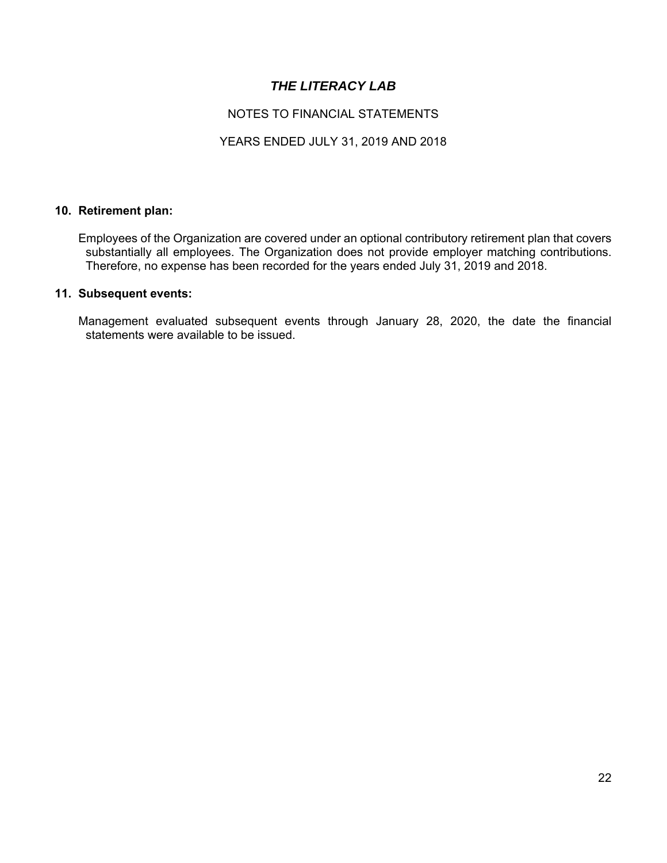## NOTES TO FINANCIAL STATEMENTS

### YEARS ENDED JULY 31, 2019 AND 2018

#### **10. Retirement plan:**

 Employees of the Organization are covered under an optional contributory retirement plan that covers substantially all employees. The Organization does not provide employer matching contributions. Therefore, no expense has been recorded for the years ended July 31, 2019 and 2018.

#### **11. Subsequent events:**

 Management evaluated subsequent events through January 28, 2020, the date the financial statements were available to be issued.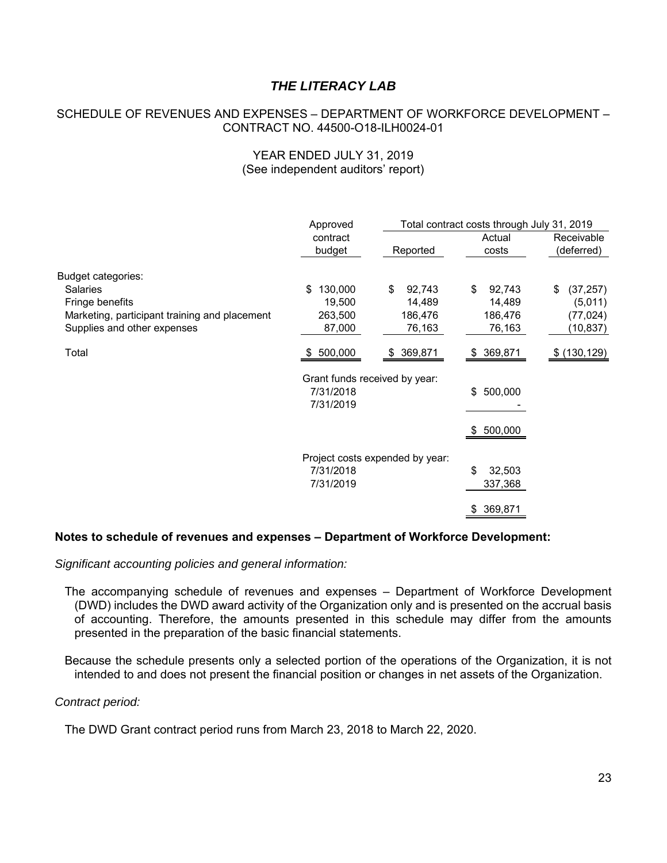#### SCHEDULE OF REVENUES AND EXPENSES – DEPARTMENT OF WORKFORCE DEVELOPMENT – CONTRACT NO. 44500-O18-ILH0024-01

|                                                                                                                                          | Approved                                                |                                             | Total contract costs through July 31, 2019  |                                                      |
|------------------------------------------------------------------------------------------------------------------------------------------|---------------------------------------------------------|---------------------------------------------|---------------------------------------------|------------------------------------------------------|
|                                                                                                                                          | contract<br>budget                                      | Reported                                    | Actual<br>costs                             | Receivable<br>(deferred)                             |
| Budget categories:<br><b>Salaries</b><br>Fringe benefits<br>Marketing, participant training and placement<br>Supplies and other expenses | 130,000<br>\$<br>19,500<br>263,500<br>87,000            | \$<br>92,743<br>14,489<br>186,476<br>76,163 | \$<br>92,743<br>14,489<br>186,476<br>76,163 | \$<br>(37, 257)<br>(5,011)<br>(77, 024)<br>(10, 837) |
| Total                                                                                                                                    | 500,000<br>S.                                           | \$369,871                                   | \$369,871                                   | \$ (130, 129)                                        |
|                                                                                                                                          | Grant funds received by year:<br>7/31/2018<br>7/31/2019 |                                             | 500,000<br>\$                               |                                                      |
|                                                                                                                                          |                                                         |                                             | \$500,000                                   |                                                      |
|                                                                                                                                          | 7/31/2018<br>7/31/2019                                  | Project costs expended by year:             | \$<br>32,503<br>337,368                     |                                                      |
|                                                                                                                                          |                                                         |                                             | \$ 369,871                                  |                                                      |

### YEAR ENDED JULY 31, 2019 (See independent auditors' report)

#### **Notes to schedule of revenues and expenses – Department of Workforce Development:**

*Significant accounting policies and general information:* 

 The accompanying schedule of revenues and expenses – Department of Workforce Development (DWD) includes the DWD award activity of the Organization only and is presented on the accrual basis of accounting. Therefore, the amounts presented in this schedule may differ from the amounts presented in the preparation of the basic financial statements.

 Because the schedule presents only a selected portion of the operations of the Organization, it is not intended to and does not present the financial position or changes in net assets of the Organization.

*Contract period:* 

The DWD Grant contract period runs from March 23, 2018 to March 22, 2020.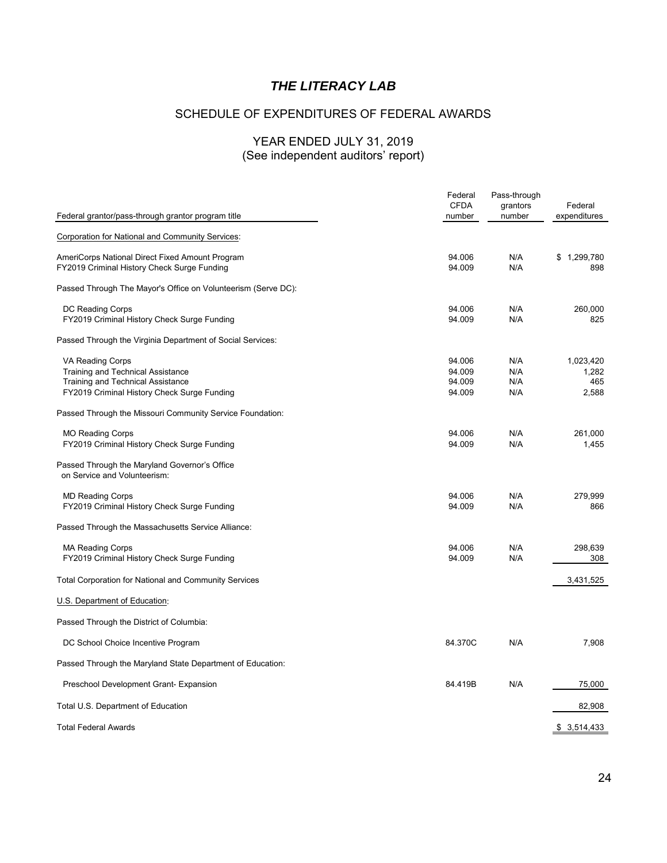## SCHEDULE OF EXPENDITURES OF FEDERAL AWARDS

### YEAR ENDED JULY 31, 2019 (See independent auditors' report)

| Federal grantor/pass-through grantor program title                                                                                                                                                     | Federal<br><b>CFDA</b><br>number     | Pass-through<br>grantors<br>number | Federal<br>expenditures            |
|--------------------------------------------------------------------------------------------------------------------------------------------------------------------------------------------------------|--------------------------------------|------------------------------------|------------------------------------|
| <b>Corporation for National and Community Services:</b>                                                                                                                                                |                                      |                                    |                                    |
| AmeriCorps National Direct Fixed Amount Program<br>FY2019 Criminal History Check Surge Funding                                                                                                         | 94.006<br>94.009                     | N/A<br>N/A                         | \$1,299,780<br>898                 |
| Passed Through The Mayor's Office on Volunteerism (Serve DC):                                                                                                                                          |                                      |                                    |                                    |
| DC Reading Corps<br>FY2019 Criminal History Check Surge Funding                                                                                                                                        | 94.006<br>94.009                     | N/A<br>N/A                         | 260,000<br>825                     |
| Passed Through the Virginia Department of Social Services:                                                                                                                                             |                                      |                                    |                                    |
| VA Reading Corps<br>Training and Technical Assistance<br>Training and Technical Assistance<br>FY2019 Criminal History Check Surge Funding<br>Passed Through the Missouri Community Service Foundation: | 94.006<br>94.009<br>94.009<br>94.009 | N/A<br>N/A<br>N/A<br>N/A           | 1,023,420<br>1,282<br>465<br>2,588 |
| <b>MO Reading Corps</b><br>FY2019 Criminal History Check Surge Funding                                                                                                                                 | 94.006<br>94.009                     | N/A<br>N/A                         | 261,000<br>1,455                   |
| Passed Through the Maryland Governor's Office<br>on Service and Volunteerism:                                                                                                                          |                                      |                                    |                                    |
| <b>MD Reading Corps</b><br>FY2019 Criminal History Check Surge Funding                                                                                                                                 | 94.006<br>94.009                     | N/A<br>N/A                         | 279,999<br>866                     |
| Passed Through the Massachusetts Service Alliance:                                                                                                                                                     |                                      |                                    |                                    |
| <b>MA Reading Corps</b><br>FY2019 Criminal History Check Surge Funding                                                                                                                                 | 94.006<br>94.009                     | N/A<br>N/A                         | 298,639<br>308                     |
| Total Corporation for National and Community Services                                                                                                                                                  |                                      |                                    | 3,431,525                          |
| U.S. Department of Education:                                                                                                                                                                          |                                      |                                    |                                    |
| Passed Through the District of Columbia:                                                                                                                                                               |                                      |                                    |                                    |
| DC School Choice Incentive Program                                                                                                                                                                     | 84.370C                              | N/A                                | 7,908                              |
| Passed Through the Maryland State Department of Education:                                                                                                                                             |                                      |                                    |                                    |
| Preschool Development Grant-Expansion                                                                                                                                                                  | 84.419B                              | N/A                                | 75,000                             |
| Total U.S. Department of Education                                                                                                                                                                     |                                      |                                    | 82,908                             |
| <b>Total Federal Awards</b>                                                                                                                                                                            |                                      |                                    | \$3,514,433                        |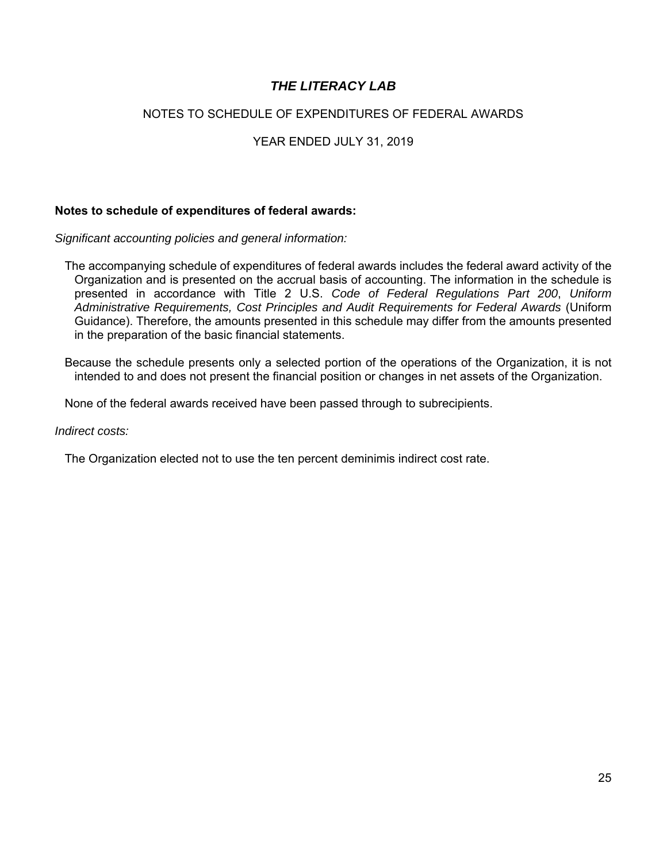## NOTES TO SCHEDULE OF EXPENDITURES OF FEDERAL AWARDS

## YEAR ENDED JULY 31, 2019

### **Notes to schedule of expenditures of federal awards:**

*Significant accounting policies and general information:* 

The accompanying schedule of expenditures of federal awards includes the federal award activity of the Organization and is presented on the accrual basis of accounting. The information in the schedule is presented in accordance with Title 2 U.S. *Code of Federal Regulations Part 200*, *Uniform Administrative Requirements, Cost Principles and Audit Requirements for Federal Awards* (Uniform Guidance). Therefore, the amounts presented in this schedule may differ from the amounts presented in the preparation of the basic financial statements.

Because the schedule presents only a selected portion of the operations of the Organization, it is not intended to and does not present the financial position or changes in net assets of the Organization.

None of the federal awards received have been passed through to subrecipients.

*Indirect costs:* 

The Organization elected not to use the ten percent deminimis indirect cost rate.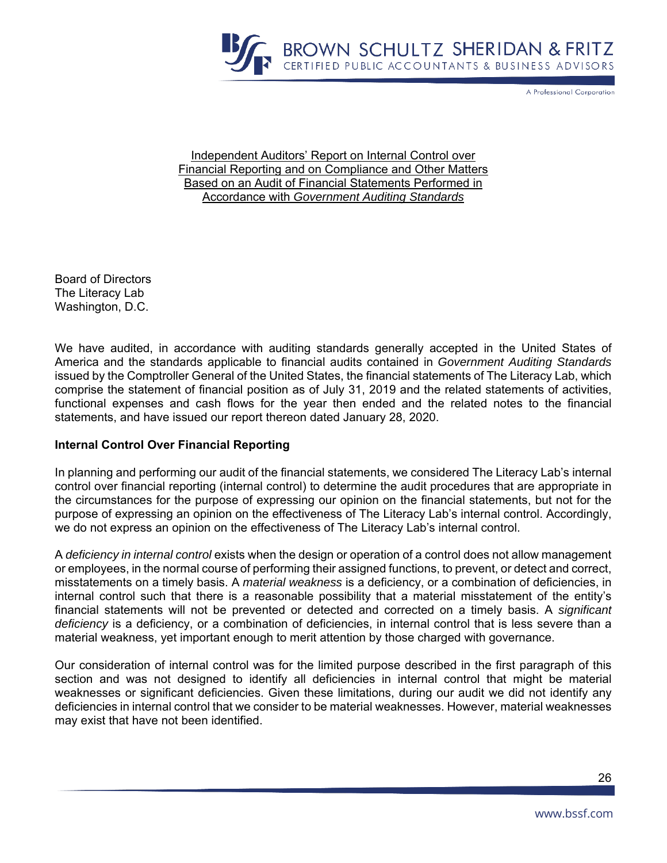

A Professional Corporation

Independent Auditors' Report on Internal Control over Financial Reporting and on Compliance and Other Matters Based on an Audit of Financial Statements Performed in Accordance with *Government Auditing Standards* 

Board of Directors The Literacy Lab Washington, D.C.

We have audited, in accordance with auditing standards generally accepted in the United States of America and the standards applicable to financial audits contained in *Government Auditing Standards* issued by the Comptroller General of the United States, the financial statements of The Literacy Lab, which comprise the statement of financial position as of July 31, 2019 and the related statements of activities, functional expenses and cash flows for the year then ended and the related notes to the financial statements, and have issued our report thereon dated January 28, 2020.

### **Internal Control Over Financial Reporting**

In planning and performing our audit of the financial statements, we considered The Literacy Lab's internal control over financial reporting (internal control) to determine the audit procedures that are appropriate in the circumstances for the purpose of expressing our opinion on the financial statements, but not for the purpose of expressing an opinion on the effectiveness of The Literacy Lab's internal control. Accordingly, we do not express an opinion on the effectiveness of The Literacy Lab's internal control.

A *deficiency in internal control* exists when the design or operation of a control does not allow management or employees, in the normal course of performing their assigned functions, to prevent, or detect and correct, misstatements on a timely basis. A *material weakness* is a deficiency, or a combination of deficiencies, in internal control such that there is a reasonable possibility that a material misstatement of the entity's financial statements will not be prevented or detected and corrected on a timely basis. A *significant deficiency* is a deficiency, or a combination of deficiencies, in internal control that is less severe than a material weakness, yet important enough to merit attention by those charged with governance.

Our consideration of internal control was for the limited purpose described in the first paragraph of this section and was not designed to identify all deficiencies in internal control that might be material weaknesses or significant deficiencies. Given these limitations, during our audit we did not identify any deficiencies in internal control that we consider to be material weaknesses. However, material weaknesses may exist that have not been identified.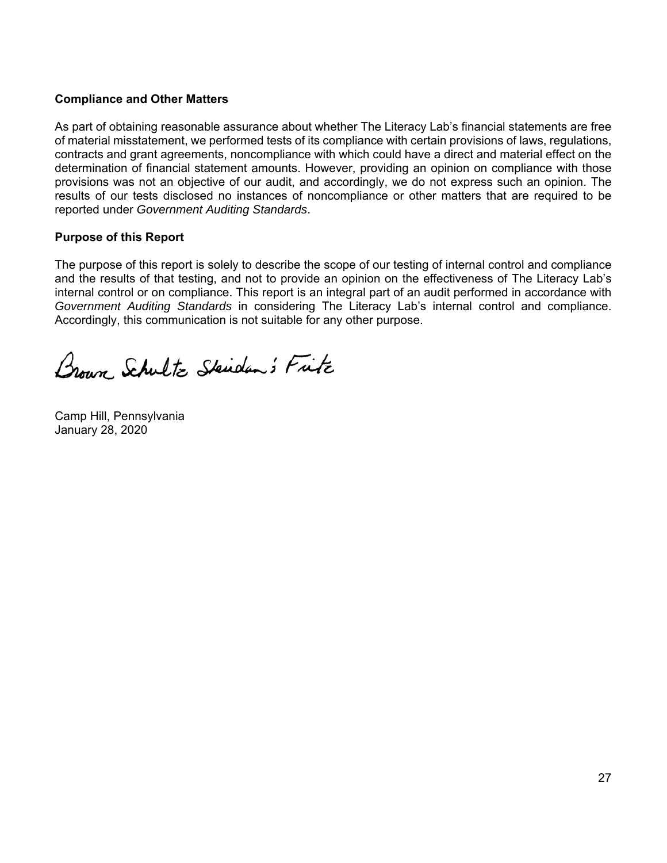### **Compliance and Other Matters**

As part of obtaining reasonable assurance about whether The Literacy Lab's financial statements are free of material misstatement, we performed tests of its compliance with certain provisions of laws, regulations, contracts and grant agreements, noncompliance with which could have a direct and material effect on the determination of financial statement amounts. However, providing an opinion on compliance with those provisions was not an objective of our audit, and accordingly, we do not express such an opinion. The results of our tests disclosed no instances of noncompliance or other matters that are required to be reported under *Government Auditing Standards*.

### **Purpose of this Report**

The purpose of this report is solely to describe the scope of our testing of internal control and compliance and the results of that testing, and not to provide an opinion on the effectiveness of The Literacy Lab's internal control or on compliance. This report is an integral part of an audit performed in accordance with *Government Auditing Standards* in considering The Literacy Lab's internal control and compliance. Accordingly, this communication is not suitable for any other purpose.

Brown Schultz Skidan's Fitz

Camp Hill, Pennsylvania January 28, 2020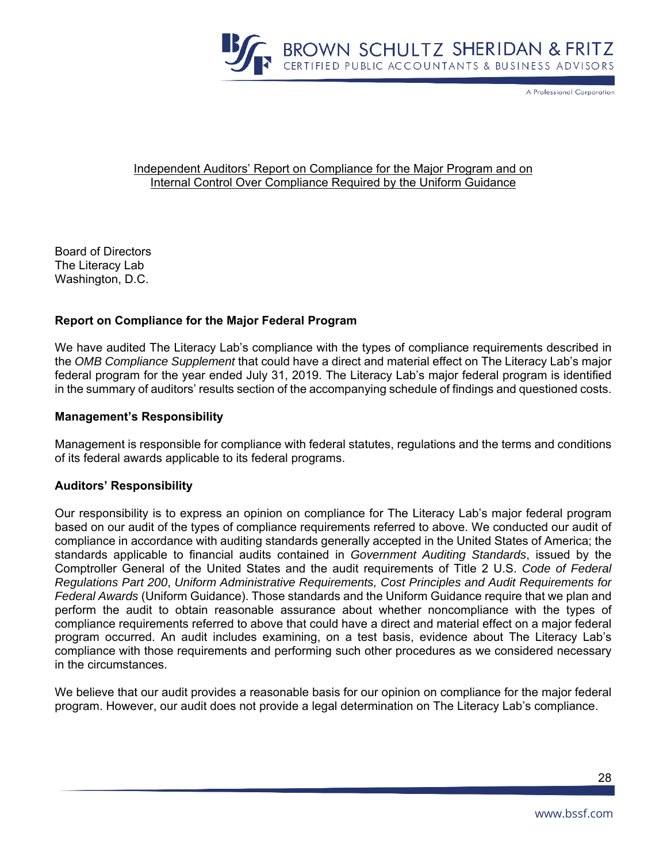

A Professional Corporation

#### Independent Auditors' Report on Compliance for the Major Program and on Internal Control Over Compliance Required by the Uniform Guidance

Board of Directors The Literacy Lab Washington, D.C.

### **Report on Compliance for the Major Federal Program**

We have audited The Literacy Lab's compliance with the types of compliance requirements described in the *OMB Compliance Supplement* that could have a direct and material effect on The Literacy Lab's major federal program for the year ended July 31, 2019. The Literacy Lab's major federal program is identified in the summary of auditors' results section of the accompanying schedule of findings and questioned costs.

### **Management's Responsibility**

Management is responsible for compliance with federal statutes, regulations and the terms and conditions of its federal awards applicable to its federal programs.

### **Auditors' Responsibility**

Our responsibility is to express an opinion on compliance for The Literacy Lab's major federal program based on our audit of the types of compliance requirements referred to above. We conducted our audit of compliance in accordance with auditing standards generally accepted in the United States of America; the standards applicable to financial audits contained in *Government Auditing Standards*, issued by the Comptroller General of the United States and the audit requirements of Title 2 U.S. *Code of Federal Regulations Part 200*, *Uniform Administrative Requirements, Cost Principles and Audit Requirements for Federal Awards* (Uniform Guidance). Those standards and the Uniform Guidance require that we plan and perform the audit to obtain reasonable assurance about whether noncompliance with the types of compliance requirements referred to above that could have a direct and material effect on a major federal program occurred. An audit includes examining, on a test basis, evidence about The Literacy Lab's compliance with those requirements and performing such other procedures as we considered necessary in the circumstances.

We believe that our audit provides a reasonable basis for our opinion on compliance for the major federal program. However, our audit does not provide a legal determination on The Literacy Lab's compliance.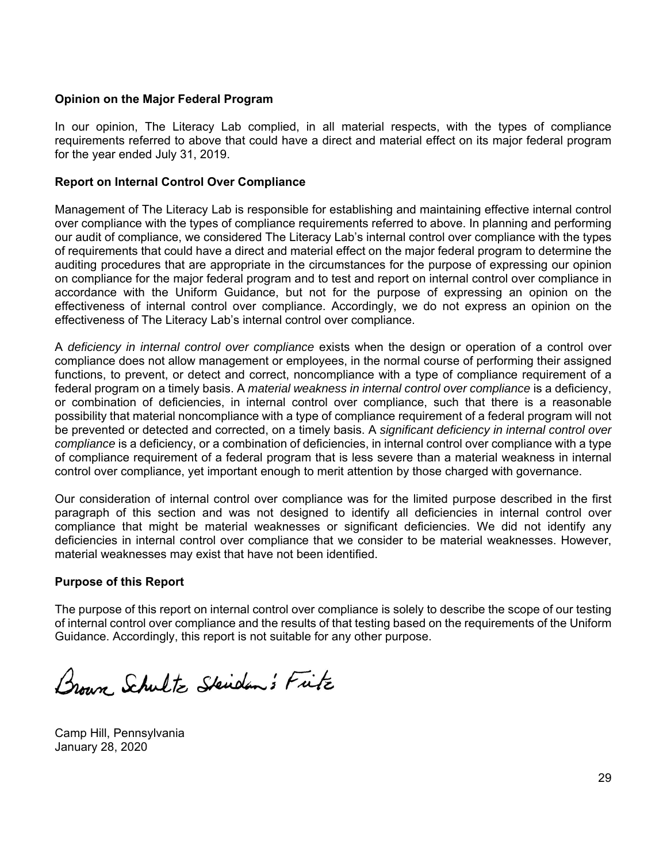#### **Opinion on the Major Federal Program**

In our opinion, The Literacy Lab complied, in all material respects, with the types of compliance requirements referred to above that could have a direct and material effect on its major federal program for the year ended July 31, 2019.

#### **Report on Internal Control Over Compliance**

Management of The Literacy Lab is responsible for establishing and maintaining effective internal control over compliance with the types of compliance requirements referred to above. In planning and performing our audit of compliance, we considered The Literacy Lab's internal control over compliance with the types of requirements that could have a direct and material effect on the major federal program to determine the auditing procedures that are appropriate in the circumstances for the purpose of expressing our opinion on compliance for the major federal program and to test and report on internal control over compliance in accordance with the Uniform Guidance, but not for the purpose of expressing an opinion on the effectiveness of internal control over compliance. Accordingly, we do not express an opinion on the effectiveness of The Literacy Lab's internal control over compliance.

A *deficiency in internal control over compliance* exists when the design or operation of a control over compliance does not allow management or employees, in the normal course of performing their assigned functions, to prevent, or detect and correct, noncompliance with a type of compliance requirement of a federal program on a timely basis. A *material weakness in internal control over compliance* is a deficiency, or combination of deficiencies, in internal control over compliance, such that there is a reasonable possibility that material noncompliance with a type of compliance requirement of a federal program will not be prevented or detected and corrected, on a timely basis. A *significant deficiency in internal control over compliance* is a deficiency, or a combination of deficiencies, in internal control over compliance with a type of compliance requirement of a federal program that is less severe than a material weakness in internal control over compliance, yet important enough to merit attention by those charged with governance.

Our consideration of internal control over compliance was for the limited purpose described in the first paragraph of this section and was not designed to identify all deficiencies in internal control over compliance that might be material weaknesses or significant deficiencies. We did not identify any deficiencies in internal control over compliance that we consider to be material weaknesses. However, material weaknesses may exist that have not been identified.

### **Purpose of this Report**

The purpose of this report on internal control over compliance is solely to describe the scope of our testing of internal control over compliance and the results of that testing based on the requirements of the Uniform Guidance. Accordingly, this report is not suitable for any other purpose.

Brown Schultz Skidan's Fitz

Camp Hill, Pennsylvania January 28, 2020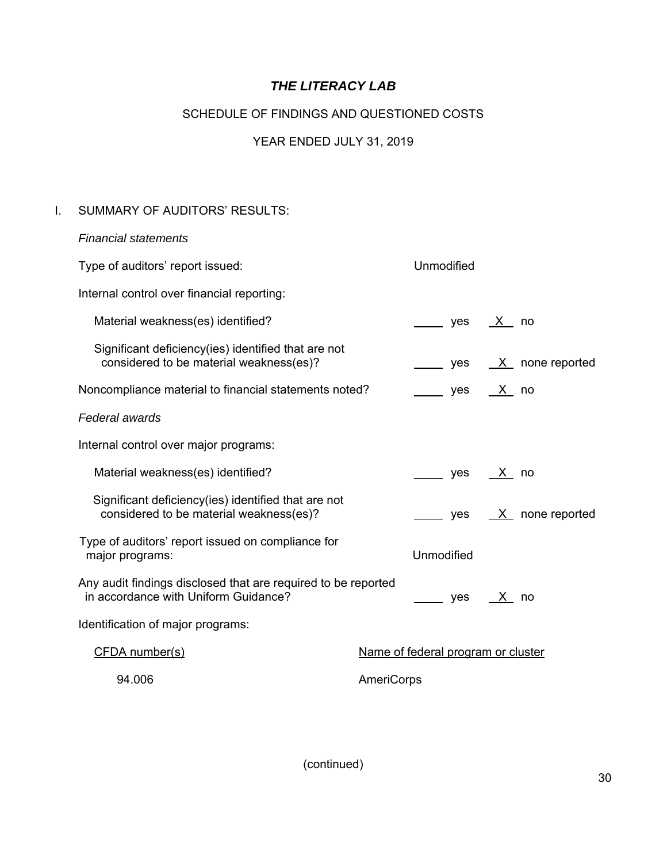# SCHEDULE OF FINDINGS AND QUESTIONED COSTS

# YEAR ENDED JULY 31, 2019

## I. SUMMARY OF AUDITORS' RESULTS:

| <b>Financial statements</b>                                                                           |                                    |            |     |              |                   |
|-------------------------------------------------------------------------------------------------------|------------------------------------|------------|-----|--------------|-------------------|
| Type of auditors' report issued:                                                                      |                                    | Unmodified |     |              |                   |
| Internal control over financial reporting:                                                            |                                    |            |     |              |                   |
| Material weakness(es) identified?                                                                     |                                    |            | yes |              |                   |
| Significant deficiency(ies) identified that are not<br>considered to be material weakness(es)?        |                                    |            | yes |              | $X$ none reported |
| Noncompliance material to financial statements noted?                                                 |                                    |            | yes | $\mathsf{X}$ | no                |
| Federal awards                                                                                        |                                    |            |     |              |                   |
| Internal control over major programs:                                                                 |                                    |            |     |              |                   |
| Material weakness(es) identified?                                                                     |                                    |            | yes | X no         |                   |
| Significant deficiency(ies) identified that are not<br>considered to be material weakness(es)?        |                                    |            | yes |              | X none reported   |
| Type of auditors' report issued on compliance for<br>major programs:                                  |                                    | Unmodified |     |              |                   |
| Any audit findings disclosed that are required to be reported<br>in accordance with Uniform Guidance? |                                    |            | yes | X no         |                   |
| Identification of major programs:                                                                     |                                    |            |     |              |                   |
| CFDA number(s)                                                                                        | Name of federal program or cluster |            |     |              |                   |
| 94.006                                                                                                | <b>AmeriCorps</b>                  |            |     |              |                   |